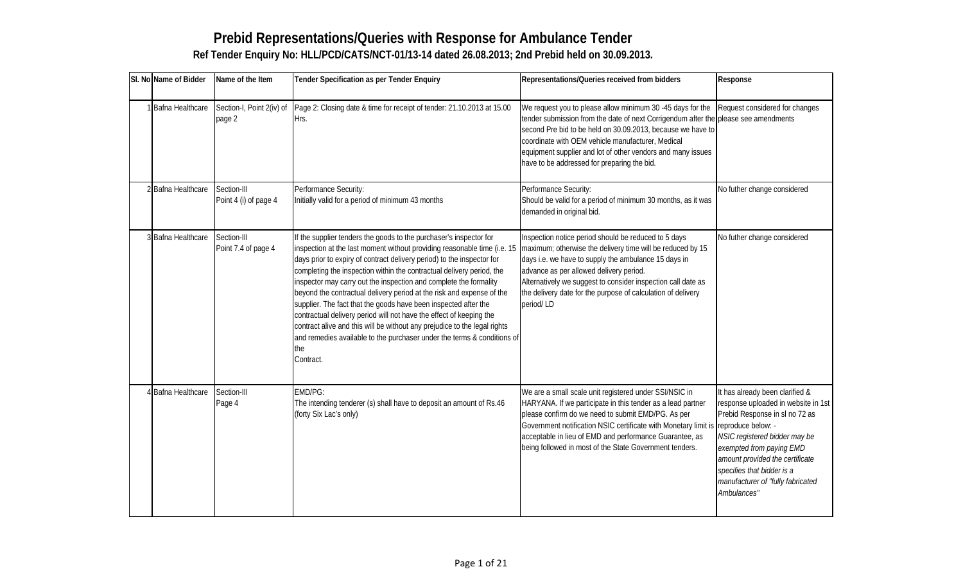# Prebid Representations/Queries with Response for Ambulance Tender Ref Tender Enquiry No: HLL/PCD/CATS/NCT-01/13-14 dated 26.08.2013; 2nd Prebid held on 30.09.20

|                                | SI. NoName of Bidder Name of the Item | Tender Specification as per Tender Enquiry                                                                                                                                                                                                                                                                                                                                                                                                                                                                                                                                                                                                                                                                                                                                                                                                                                                                                                                                                                                        | Representations/Queries received from bidders                                                                                                                                                                                                                                                                                                                                                                | Response                                                                                                         |
|--------------------------------|---------------------------------------|-----------------------------------------------------------------------------------------------------------------------------------------------------------------------------------------------------------------------------------------------------------------------------------------------------------------------------------------------------------------------------------------------------------------------------------------------------------------------------------------------------------------------------------------------------------------------------------------------------------------------------------------------------------------------------------------------------------------------------------------------------------------------------------------------------------------------------------------------------------------------------------------------------------------------------------------------------------------------------------------------------------------------------------|--------------------------------------------------------------------------------------------------------------------------------------------------------------------------------------------------------------------------------------------------------------------------------------------------------------------------------------------------------------------------------------------------------------|------------------------------------------------------------------------------------------------------------------|
|                                | page 2                                | Bafna HealthcalSection-I, Point 2(iv) Page 2: Closing date & time for receipt of tender: 21.10.201 We request you to please allow minimum 30 -45 da Request considered for chang<br>IHrs.                                                                                                                                                                                                                                                                                                                                                                                                                                                                                                                                                                                                                                                                                                                                                                                                                                         | tender submission from the date of next Corrigenduplease see amendments<br>second Pre bid to be held on 30.09.2013, because<br>coordinate with OEM vehicle manufacturer, Medica<br>equipment supplier and lot of other vendors and ma<br>have to be addressed for preparing the bid.                                                                                                                         |                                                                                                                  |
| 2 Bafna Healthcan Section-III  |                                       | Performance Security:<br>Point 4 (i) of page 4 Initially valid for a period of minimum 43 months                                                                                                                                                                                                                                                                                                                                                                                                                                                                                                                                                                                                                                                                                                                                                                                                                                                                                                                                  | Performance Security:<br>Should be valid for a period of minimum 30 months<br>demanded in original bid.                                                                                                                                                                                                                                                                                                      | No futher change considered                                                                                      |
| 3 Bafna Healthcare Section-III | Point 7.4 of page 4                   | If the supplier tenders the goods to the purchaser€s inspectlnspection notice period should be reduced to 5 dayNo futher change considered<br>inspection at the last moment without providing reasonable maximum; otherwise the delivery time will be reduc<br>days prior to expiry of contract delivery period) to the inspeddays i.e. we have to supply the ambulance 15 days<br>completing the inspection within the contractual delivery peradvance as per allowed delivery period.<br>inspector may carry out the inspection and complete the for Alternatively we suggest to consider inspection call<br>beyond the contractual delivery period at the risk and experthe delivery date for the purpose of calculation of de<br>supplier. The fact that the goods have been inspected after period/ LD<br>contractual delivery period will not have the effect of keepin<br>contract alive and this will be without any prejudice to the le<br>and remedies available to the purchaser under the terms &<br>the<br>Contract. |                                                                                                                                                                                                                                                                                                                                                                                                              |                                                                                                                  |
| 4 Bafna Healthcare Section-III | Page 4                                | EMD/PG:<br>The intending tenderer (s) shall have to deposit an amount HARYANA. If we participate in this tender as a lead response uploaded in website<br>(forty Six Lac€s only)                                                                                                                                                                                                                                                                                                                                                                                                                                                                                                                                                                                                                                                                                                                                                                                                                                                  | We are a small scale unit registered under SSI/NSI It has already been clarified &<br>please confirm do we need to submit EMD/PG. As Prebid Response in sl no 72 a<br>Government notification NSIC certificate with Mone reproduce below: -<br>acceptable in lieu of EMD and performance Guarar NSIC registered bidder may be<br>being followed in most of the State Government ten exempted from paying EMD | amount provided the certificate<br>specifies that bidder is a<br>manufacturer of "fully fabricate<br>Ambulances" |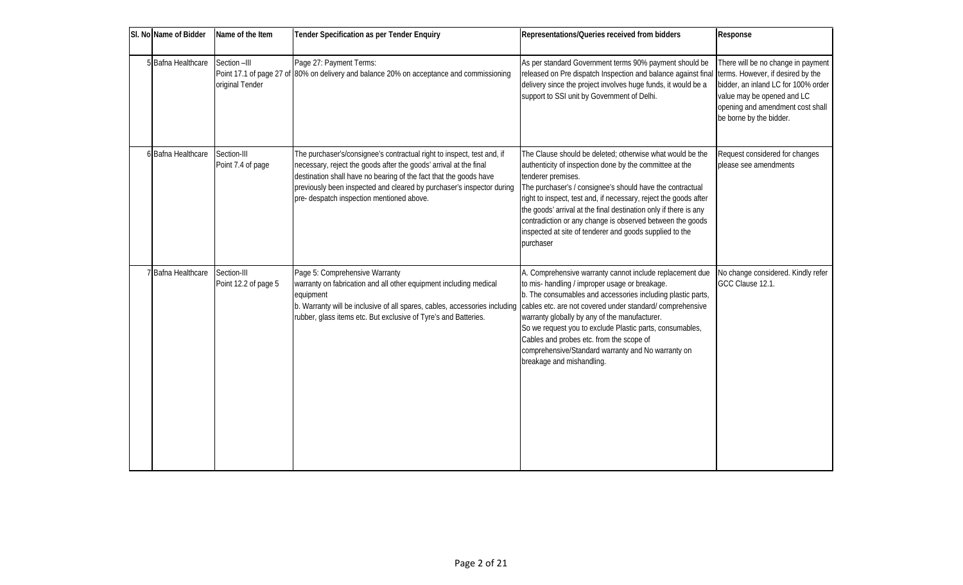| SI. No Name of Bidder | Name of the Item                    | <b>Tender Specification as per Tender Enquiry</b>                                                                                                                                                                                                                                                                                      | Representations/Queries received from bidders                                                                                                                                                                                                                                                                                                                                                                                                                                        | Response                                                                                                                                                                                                    |
|-----------------------|-------------------------------------|----------------------------------------------------------------------------------------------------------------------------------------------------------------------------------------------------------------------------------------------------------------------------------------------------------------------------------------|--------------------------------------------------------------------------------------------------------------------------------------------------------------------------------------------------------------------------------------------------------------------------------------------------------------------------------------------------------------------------------------------------------------------------------------------------------------------------------------|-------------------------------------------------------------------------------------------------------------------------------------------------------------------------------------------------------------|
| 5 Bafna Healthcare    | Section --III<br>original Tender    | Page 27: Payment Terms:<br>Point 17.1 of page 27 of 80% on delivery and balance 20% on acceptance and commissioning                                                                                                                                                                                                                    | As per standard Government terms 90% payment should be<br>released on Pre dispatch Inspection and balance against final<br>delivery since the project involves huge funds, it would be a<br>support to SSI unit by Government of Delhi.                                                                                                                                                                                                                                              | There will be no change in payment<br>terms. However, if desired by the<br>bidder, an inland LC for 100% order<br>value may be opened and LC<br>opening and amendment cost shall<br>be borne by the bidder. |
| 6 Bafna Healthcare    | Section-III<br>Point 7.4 of page    | The purchaser's/consignee's contractual right to inspect, test and, if<br>necessary, reject the goods after the goods' arrival at the final<br>destination shall have no bearing of the fact that the goods have<br>previously been inspected and cleared by purchaser's inspector during<br>pre- despatch inspection mentioned above. | The Clause should be deleted; otherwise what would be the<br>authenticity of inspection done by the committee at the<br>tenderer premises.<br>The purchaser's / consignee's should have the contractual<br>right to inspect, test and, if necessary, reject the goods after<br>the goods' arrival at the final destination only if there is any<br>contradiction or any change is observed between the goods<br>inspected at site of tenderer and goods supplied to the<br>purchaser | Request considered for changes<br>blease see amendments                                                                                                                                                     |
| 7 Bafna Healthcare    | Section-III<br>Point 12.2 of page 5 | Page 5: Comprehensive Warranty<br>warranty on fabrication and all other equipment including medical<br>equipment<br>b. Warranty will be inclusive of all spares, cables, accessories including<br>rubber, glass items etc. But exclusive of Tyre's and Batteries.                                                                      | A Comprehensive warranty cannot include replacement due<br>to mis-handling / improper usage or breakage.<br>b. The consumables and accessories including plastic parts,<br>cables etc. are not covered under standard/comprehensive<br>warranty globally by any of the manufacturer.<br>So we request you to exclude Plastic parts, consumables,<br>Cables and probes etc. from the scope of<br>comprehensive/Standard warranty and No warranty on<br>breakage and mishandling.      | No change considered. Kindly refer<br>GCC Clause 12.1.                                                                                                                                                      |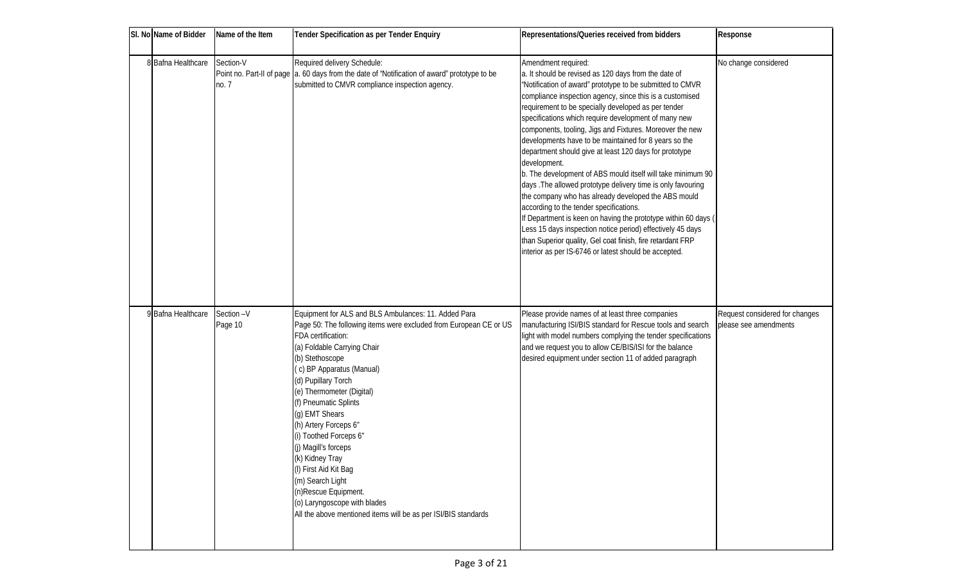| SI. No Name of Bidder | Name of the Item     | <b>Tender Specification as per Tender Enquiry</b>                                                                                                                                                                                                                                                                                                                                                                                                                                                                                                                                                  | Representations/Queries received from bidders                                                                                                                                                                                                                                                                                                                                                                                                                                                                                                                                                                                                                                                                                                                                                                                                                                                                                                                                                             | Response                                                |
|-----------------------|----------------------|----------------------------------------------------------------------------------------------------------------------------------------------------------------------------------------------------------------------------------------------------------------------------------------------------------------------------------------------------------------------------------------------------------------------------------------------------------------------------------------------------------------------------------------------------------------------------------------------------|-----------------------------------------------------------------------------------------------------------------------------------------------------------------------------------------------------------------------------------------------------------------------------------------------------------------------------------------------------------------------------------------------------------------------------------------------------------------------------------------------------------------------------------------------------------------------------------------------------------------------------------------------------------------------------------------------------------------------------------------------------------------------------------------------------------------------------------------------------------------------------------------------------------------------------------------------------------------------------------------------------------|---------------------------------------------------------|
| 8 Bafna Healthcare    | Section-V<br>no. 7   | Required delivery Schedule:<br>Point no. Part-II of page   a. 60 days from the date of "Notification of award" prototype to be<br>submitted to CMVR compliance inspection agency.                                                                                                                                                                                                                                                                                                                                                                                                                  | Amendment required:<br>a. It should be revised as 120 days from the date of<br>"Notification of award" prototype to be submitted to CMVR<br>compliance inspection agency, since this is a customised<br>requirement to be specially developed as per tender<br>specifications which require development of many new<br>components, tooling, Jigs and Fixtures. Moreover the new<br>developments have to be maintained for 8 years so the<br>department should give at least 120 days for prototype<br>development.<br>b. The development of ABS mould itself will take minimum 90<br>days. The allowed prototype delivery time is only favouring<br>the company who has already developed the ABS mould<br>according to the tender specifications.<br>If Department is keen on having the prototype within 60 days (<br>Less 15 days inspection notice period) effectively 45 days<br>than Superior quality, Gel coat finish, fire retardant FRP<br>interior as per IS-6746 or latest should be accepted. | No change considered                                    |
| 9 Bafna Healthcare    | Section-V<br>Page 10 | Equipment for ALS and BLS Ambulances: 11. Added Para<br>Page 50: The following items were excluded from European CE or US<br>FDA certification:<br>(a) Foldable Carrying Chair<br>(b) Stethoscope<br>(c) BP Apparatus (Manual)<br>(d) Pupillary Torch<br>(e) Thermometer (Digital)<br>(f) Pneumatic Splints<br>(g) EMT Shears<br>(h) Artery Forceps 6"<br>(i) Toothed Forceps 6"<br>(j) Magill's forceps<br>(k) Kidney Tray<br>(I) First Aid Kit Bag<br>(m) Search Light<br>(n)Rescue Equipment.<br>(o) Laryngoscope with blades<br>All the above mentioned items will be as per ISI/BIS standards | Please provide names of at least three companies<br>manufacturing ISI/BIS standard for Rescue tools and search<br>light with model numbers complying the tender specifications<br>and we request you to allow CE/BIS/ISI for the balance<br>desired equipment under section 11 of added paragraph                                                                                                                                                                                                                                                                                                                                                                                                                                                                                                                                                                                                                                                                                                         | Request considered for changes<br>please see amendments |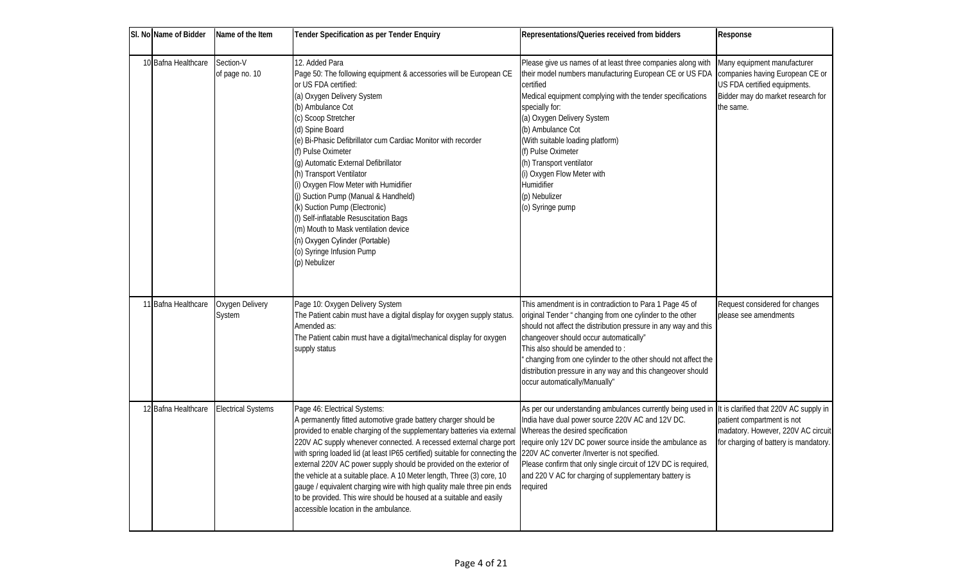| SI. No Name of Bidder | Name of the Item            | <b>Tender Specification as per Tender Enquiry</b>                                                                                                                                                                                                                                                                                                                                                                                                                                                                                                                                                                                                                                                                                                                                                                     | Representations/Queries received from bidders                                                                                                                                                                                                                                                                                                                                                                                                        | Response                                                                                                                                         |
|-----------------------|-----------------------------|-----------------------------------------------------------------------------------------------------------------------------------------------------------------------------------------------------------------------------------------------------------------------------------------------------------------------------------------------------------------------------------------------------------------------------------------------------------------------------------------------------------------------------------------------------------------------------------------------------------------------------------------------------------------------------------------------------------------------------------------------------------------------------------------------------------------------|------------------------------------------------------------------------------------------------------------------------------------------------------------------------------------------------------------------------------------------------------------------------------------------------------------------------------------------------------------------------------------------------------------------------------------------------------|--------------------------------------------------------------------------------------------------------------------------------------------------|
| 10 Bafna Healthcare   | Section-V<br>of page no. 10 | 12. Added Para<br>Page 50: The following equipment & accessories will be European CE<br>or US FDA certified:<br>(a) Oxygen Delivery System<br>(b) Ambulance Cot<br>(c) Scoop Stretcher<br>(d) Spine Board<br>(e) Bi-Phasic Defibrillator cum Cardiac Monitor with recorder<br>(f) Pulse Oximeter<br>(g) Automatic External Defibrillator<br>(h) Transport Ventilator<br>(i) Oxygen Flow Meter with Humidifier<br>(i) Suction Pump (Manual & Handheld)<br>(k) Suction Pump (Electronic)<br>(I) Self-inflatable Resuscitation Bags<br>(m) Mouth to Mask ventilation device<br>(n) Oxygen Cylinder (Portable)<br>(o) Syringe Infusion Pump<br>(p) Nebulizer                                                                                                                                                              | Please give us names of at least three companies along with<br>their model numbers manufacturing European CE or US FDA<br>certified<br>Medical equipment complying with the tender specifications<br>specially for:<br>(a) Oxygen Delivery System<br>(b) Ambulance Cot<br>(With suitable loading platform)<br>(f) Pulse Oximeter<br>(h) Transport ventilator<br>(i) Oxygen Flow Meter with<br><b>Humidifier</b><br>(p) Nebulizer<br>(o) Syringe pump | Many equipment manufacturer<br>companies having European CE or<br>US FDA certified equipments.<br>Bidder may do market research for<br>the same. |
| 11 Bafna Healthcare   | Oxygen Delivery<br>System   | Page 10: Oxygen Delivery System<br>The Patient cabin must have a digital display for oxygen supply status.<br>Amended as:<br>The Patient cabin must have a digital/mechanical display for oxygen<br>supply status                                                                                                                                                                                                                                                                                                                                                                                                                                                                                                                                                                                                     | This amendment is in contradiction to Para 1 Page 45 of<br>original Tender "changing from one cylinder to the other<br>should not affect the distribution pressure in any way and this<br>changeover should occur automatically"<br>This also should be amended to:<br>changing from one cylinder to the other should not affect the<br>distribution pressure in any way and this changeover should<br>occur automatically/Manually"                 | Request considered for changes<br>please see amendments                                                                                          |
| 12 Bafna Healthcare   | <b>Electrical Systems</b>   | Page 46: Electrical Systems:<br>A permanently fitted automotive grade battery charger should be<br>provided to enable charging of the supplementary batteries via external Vvhereas the desired specification<br>220V AC supply whenever connected. A recessed external charge port require only 12V DC power source inside the ambulance as<br>with spring loaded lid (at least IP65 certified) suitable for connecting the 220V AC converter /Inverter is not specified.<br>external 220V AC power supply should be provided on the exterior of<br>the vehicle at a suitable place. A 10 Meter length, Three (3) core, 10<br>gauge / equivalent charging wire with high quality male three pin ends<br>to be provided. This wire should be housed at a suitable and easily<br>accessible location in the ambulance. | As per our understanding ambulances currently being used in It is clarified that 220V AC supply in<br>India have dual power source 220V AC and 12V DC.<br>Please confirm that only single circuit of 12V DC is required,<br>and 220 V AC for charging of supplementary battery is<br>required                                                                                                                                                        | patient compartment is not<br>madatory. However, 220V AC circuit<br>for charging of battery is mandatory.                                        |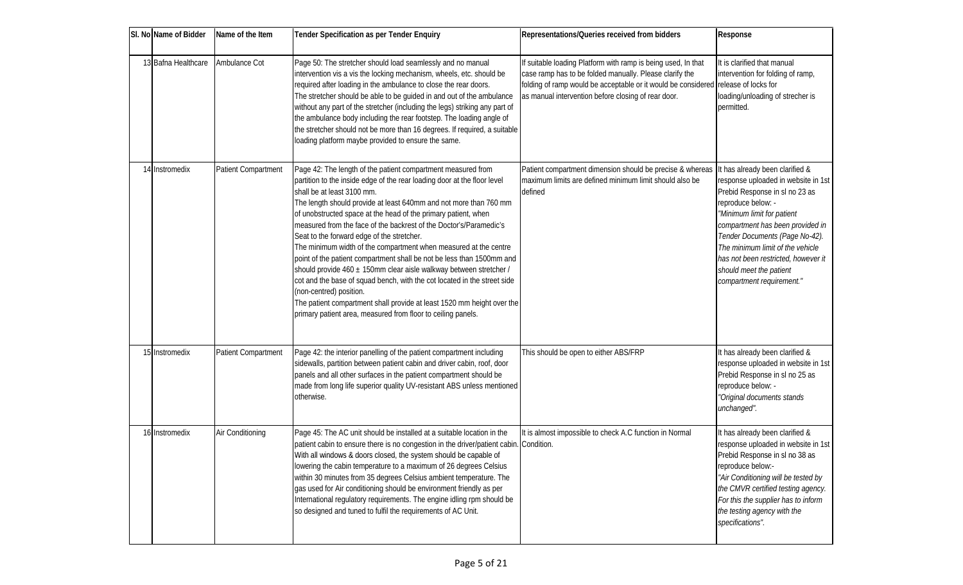| SI. No Name of Bidder | Name of the Item           | <b>Tender Specification as per Tender Enquiry</b>                                                                                                                                                                                                                                                                                                                                                                                                                                                                                                                                                                                                                                                                                                                                                                                                                                                     | Representations/Queries received from bidders                                                                                                                                                                                                                         | Response                                                                                                                                                                                                                                                                                                                                                             |
|-----------------------|----------------------------|-------------------------------------------------------------------------------------------------------------------------------------------------------------------------------------------------------------------------------------------------------------------------------------------------------------------------------------------------------------------------------------------------------------------------------------------------------------------------------------------------------------------------------------------------------------------------------------------------------------------------------------------------------------------------------------------------------------------------------------------------------------------------------------------------------------------------------------------------------------------------------------------------------|-----------------------------------------------------------------------------------------------------------------------------------------------------------------------------------------------------------------------------------------------------------------------|----------------------------------------------------------------------------------------------------------------------------------------------------------------------------------------------------------------------------------------------------------------------------------------------------------------------------------------------------------------------|
| 13 Bafna Healthcare   | Ambulance Cot              | Page 50: The stretcher should load seamlessly and no manual<br>intervention vis a vis the locking mechanism, wheels, etc. should be<br>required after loading in the ambulance to close the rear doors.<br>The stretcher should be able to be guided in and out of the ambulance<br>without any part of the stretcher (including the legs) striking any part of<br>the ambulance body including the rear footstep. The loading angle of<br>the stretcher should not be more than 16 degrees. If required, a suitable<br>loading platform maybe provided to ensure the same.                                                                                                                                                                                                                                                                                                                           | If suitable loading Platform with ramp is being used, In that<br>case ramp has to be folded manually. Please clarify the<br>folding of ramp would be acceptable or it would be considered release of locks for<br>as manual intervention before closing of rear door. | It is clarified that manual<br>intervention for folding of ramp,<br>loading/unloading of strecher is<br>permitted.                                                                                                                                                                                                                                                   |
| 14 Instromedix        | <b>Patient Compartment</b> | Page 42: The length of the patient compartment measured from<br>partition to the inside edge of the rear loading door at the floor level<br>shall be at least 3100 mm.<br>The length should provide at least 640mm and not more than 760 mm<br>of unobstructed space at the head of the primary patient, when<br>measured from the face of the backrest of the Doctor's/Paramedic's<br>Seat to the forward edge of the stretcher.<br>The minimum width of the compartment when measured at the centre<br>point of the patient compartment shall be not be less than 1500mm and<br>should provide 460 ± 150mm clear aisle walkway between stretcher /<br>cot and the base of squad bench, with the cot located in the street side<br>(non-centred) position.<br>The patient compartment shall provide at least 1520 mm height over the<br>primary patient area, measured from floor to ceiling panels. | Patient compartment dimension should be precise & whereas<br>maximum limits are defined minimum limit should also be<br>defined                                                                                                                                       | It has already been darified &<br>response uploaded in website in 1st<br>Prebid Response in sl no 23 as<br>reproduce below. -<br>"Minimum limit for patient<br>compartment has been provided in<br>Tender Documents (Page No-42).<br>The minimum limit of the vehicle<br>has not been restricted, however it<br>should meet the patient<br>compartment requirement." |
| 15 Instromedix        | Patient Compartment        | Page 42: the interior panelling of the patient compartment including<br>sidewalls, partition between patient cabin and driver cabin, roof, door<br>panels and all other surfaces in the patient compartment should be<br>made from long life superior quality UV-resistant ABS unless mentioned<br>otherwise.                                                                                                                                                                                                                                                                                                                                                                                                                                                                                                                                                                                         | This should be open to either ABS/FRP                                                                                                                                                                                                                                 | It has already been darified &<br>response uploaded in website in 1st<br>Prebid Response in sl no 25 as<br>reproduce below. -<br>"Original documents stands<br>unchanged".                                                                                                                                                                                           |
| 16 Instromedix        | Air Conditioning           | Page 45: The AC unit should be installed at a suitable location in the<br>patient cabin to ensure there is no congestion in the driver/patient cabin. Condition.<br>With all windows & doors closed, the system should be capable of<br>lowering the cabin temperature to a maximum of 26 degrees Celsius<br>within 30 minutes from 35 degrees Celsius ambient temperature. The<br>gas used for Air conditioning should be environment friendly as per<br>International regulatory requirements. The engine idling rpm should be<br>so designed and tuned to fulfil the requirements of AC Unit.                                                                                                                                                                                                                                                                                                      | It is almost impossible to check A.C function in Normal                                                                                                                                                                                                               | It has already been darified &<br>response uploaded in website in 1st<br>Prebid Response in sl no 38 as<br>reproduce below.-<br>"Air Conditioning will be tested by<br>the CMVR certified testing agency.<br>For this the supplier has to inform<br>the testing agency with the<br>specifications".                                                                  |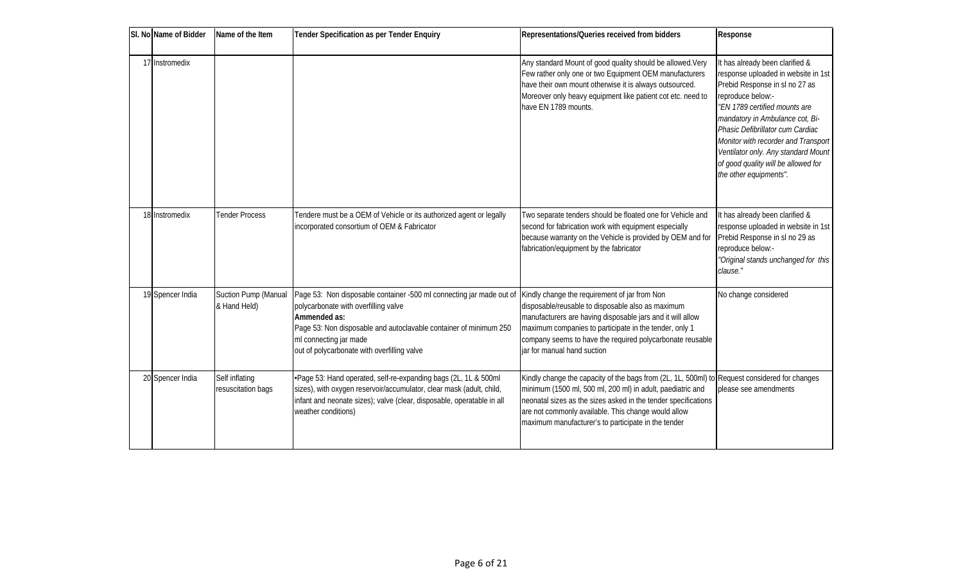| SI. No Name of Bidder | Name of the Item                     | <b>Tender Specification as per Tender Enquiry</b>                                                                                                                                                                                                                          | Representations/Queries received from bidders                                                                                                                                                                                                                                                                                               | Response                                                                                                                                                                                                                                                                                                                                                                            |
|-----------------------|--------------------------------------|----------------------------------------------------------------------------------------------------------------------------------------------------------------------------------------------------------------------------------------------------------------------------|---------------------------------------------------------------------------------------------------------------------------------------------------------------------------------------------------------------------------------------------------------------------------------------------------------------------------------------------|-------------------------------------------------------------------------------------------------------------------------------------------------------------------------------------------------------------------------------------------------------------------------------------------------------------------------------------------------------------------------------------|
| 17 Instromedix        |                                      |                                                                                                                                                                                                                                                                            | Any standard Mount of good quality should be allowed. Very<br>Few rather only one or two Equipment OEM manufacturers<br>have their own mount otherwise it is always outsourced.<br>Moreover only heavy equipment like patient cot etc. need to<br>have EN 1789 mounts.                                                                      | It has already been darified &<br>response uploaded in website in 1st<br>Prebid Response in sl no 27 as<br>reproduce below.-<br>"EN 1789 certified mounts are<br>mandatory in Ambulance cot, Bi-<br>Phasic Defibrillator cum Cardiac<br>Monitor with recorder and Transport<br>Ventilator only. Any standard Mount<br>of good quality will be allowed for<br>the other equipments". |
| 18 Instromedix        | <b>Tender Process</b>                | Tendere must be a OEM of Vehicle or its authorized agent or legally<br>incorporated consortium of OEM & Fabricator                                                                                                                                                         | Two separate tenders should be floated one for Vehicle and<br>second for fabrication work with equipment especially<br>because warranty on the Vehicle is provided by OEM and for<br>fabrication/equipment by the fabricator                                                                                                                | It has already been darified &<br>response uploaded in website in 1st<br>Prebid Response in sl no 29 as<br>reproduce below.-<br>"Original stands unchanged for this<br>clause."                                                                                                                                                                                                     |
| 19 Spencer India      | Suction Pump (Manual<br>& Hand Held) | Page 53: Non disposable container -500 ml connecting jar made out of<br>polycarbonate with overfilling valve<br>Ammended as:<br>Page 53: Non disposable and autoclavable container of minimum 250<br>ml connecting jar made<br>out of polycarbonate with overfilling valve | Kindly change the requirement of jar from Non<br>disposable/reusable to disposable also as maximum<br>manufacturers are having disposable jars and it will allow<br>maximum companies to participate in the tender, only 1<br>company seems to have the required polycarbonate reusable<br>jar for manual hand suction                      | No change considered                                                                                                                                                                                                                                                                                                                                                                |
| 20 Spencer India      | Self inflating<br>resuscitation bags | .Page 53: Hand operated, self-re-expanding bags (2L, 1L & 500ml<br>sizes), with oxygen reservoir/accumulator, clear mask (adult, child,<br>infant and neonate sizes); valve (dear, disposable, operatable in all<br>weather conditions)                                    | Kindly change the capacity of the bags from (2L, 1L, 500ml) to Request considered for changes<br>minimum (1500 ml, 500 ml, 200 ml) in adult, paediatric and<br>neonatal sizes as the sizes asked in the tender specifications<br>are not commonly available. This change would allow<br>maximum manufacturer's to participate in the tender | please see amendments                                                                                                                                                                                                                                                                                                                                                               |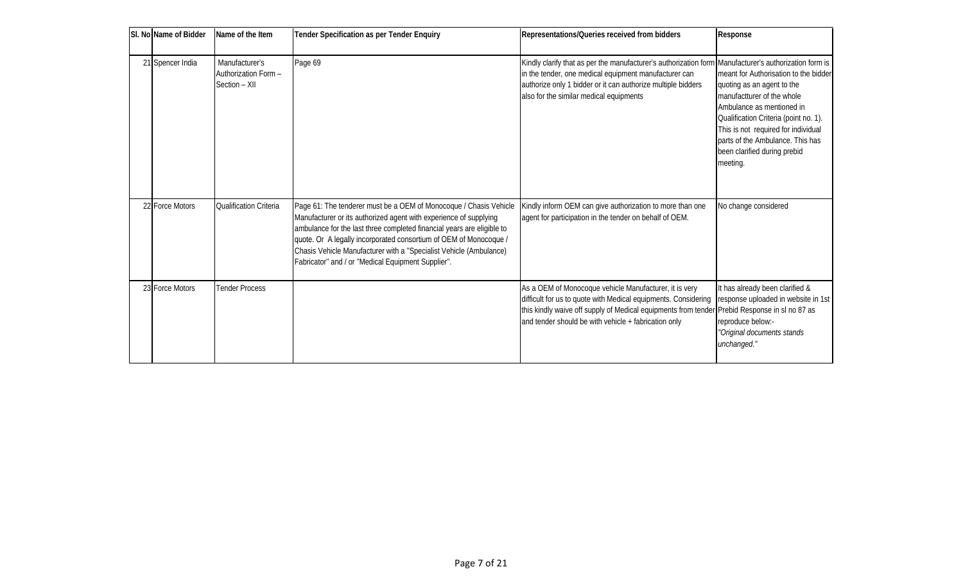| SI. No Name of Bidder | Name of the Item                                       | <b>Tender Specification as per Tender Enquiry</b>                                                                                                                                                                                                                                                                                                                                                                | Representations/Queries received from bidders                                                                                                                                                                                                                                                                           | Response                                                                                                                                                                                                                                                                                       |
|-----------------------|--------------------------------------------------------|------------------------------------------------------------------------------------------------------------------------------------------------------------------------------------------------------------------------------------------------------------------------------------------------------------------------------------------------------------------------------------------------------------------|-------------------------------------------------------------------------------------------------------------------------------------------------------------------------------------------------------------------------------------------------------------------------------------------------------------------------|------------------------------------------------------------------------------------------------------------------------------------------------------------------------------------------------------------------------------------------------------------------------------------------------|
| 21 Spencer India      | Manufacturer's<br>Authorization Form-<br>Section - XII | Page 69                                                                                                                                                                                                                                                                                                                                                                                                          | Kindly clarify that as per the manufacturer's authorization form Manufacturer's authorization form is<br>in the tender, one medical equipment manufacturer can<br>authorize only 1 bidder or it can authorize multiple bidders<br>also for the similar medical equipments                                               | meant for Authorisation to the bidder<br>quoting as an agent to the<br>manufactturer of the whole<br>Ambulance as mentioned in<br>Qualification Criteria (point no. 1).<br>This is not required for individual<br>parts of the Ambulance. This has<br>been clarified during prebid<br>meeting. |
| 22 Force Motors       | Qualification Criteria                                 | Page 61: The tenderer must be a OEM of Monocoque / Chasis Vehide<br>Manufacturer or its authorized agent with experience of supplying<br>ambulance for the last three completed financial years are eligible to<br>quote. Or A legally incorporated consortium of OEM of Monocoque /<br>Chasis Vehicle Manufacturer with a "Specialist Vehicle (Ambulance)<br>Fabricator" and / or "Medical Equipment Supplier". | Kindly inform OEM can give authorization to more than one<br>agent for participation in the tender on behalf of OEM.                                                                                                                                                                                                    | No change considered                                                                                                                                                                                                                                                                           |
| 23 Force Motors       | <b>Tender Process</b>                                  |                                                                                                                                                                                                                                                                                                                                                                                                                  | As a OEM of Monocoque vehicle Manufacturer, it is very<br>difficult for us to quote with Medical equipments. Considering   response uploaded in website in 1st<br>this kindly waive off supply of Medical equipments from tender Prebid Response in sl no 87 as<br>and tender should be with vehicle + fabrication only | It has already been darified &<br>reproduce below.-<br>"Original documents stands<br>unchanged."                                                                                                                                                                                               |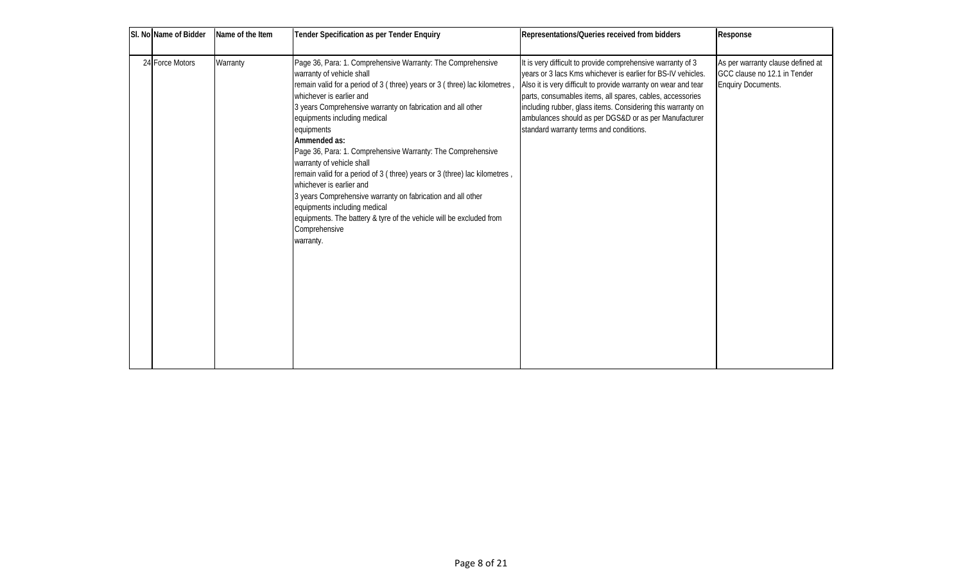| SI. No Name of Bidder | Name of the Item | <b>Tender Specification as per Tender Enquiry</b>                                                                                                                                                                                                                                                                                                                                                                                                                                                                                                                                                                                                                                                                                     | Representations/Queries received from bidders                                                                                                                                                                                                                                                                                                                                                                                | Response                                                                                               |
|-----------------------|------------------|---------------------------------------------------------------------------------------------------------------------------------------------------------------------------------------------------------------------------------------------------------------------------------------------------------------------------------------------------------------------------------------------------------------------------------------------------------------------------------------------------------------------------------------------------------------------------------------------------------------------------------------------------------------------------------------------------------------------------------------|------------------------------------------------------------------------------------------------------------------------------------------------------------------------------------------------------------------------------------------------------------------------------------------------------------------------------------------------------------------------------------------------------------------------------|--------------------------------------------------------------------------------------------------------|
| 24 Force Motors       | Warranty         | Page 36, Para: 1. Comprehensive Warranty: The Comprehensive<br>warranty of vehicle shall<br>remain valid for a period of 3 (three) years or 3 (three) lac kilometres,<br>whichever is earlier and<br>3 years Comprehensive warranty on fabrication and all other<br>equipments induding medical<br>equipments<br>Ammended as:<br>Page 36, Para: 1. Comprehensive Warranty: The Comprehensive<br>warranty of vehicle shall<br>remain valid for a period of 3 (three) years or 3 (three) lac kilometres,<br>whichever is earlier and<br>3 years Comprehensive warranty on fabrication and all other<br>equipments induding medical<br>equipments. The battery & tyre of the vehicle will be excluded from<br>Comprehensive<br>warranty. | It is very difficult to provide comprehensive warranty of 3<br>years or 3 lacs Kms whichever is earlier for BS-IV vehicles.<br>Also it is very difficult to provide warranty on wear and tear<br>parts, consumables items, all spares, cables, accessories<br>induding rubber, glass items. Considering this warranty on<br>ambulances should as per DGS&D or as per Manufacturer<br>standard warranty terms and conditions. | As per warranty clause defined at<br><b>IGCC clause no 12.1 in Tender</b><br><b>Enquiry Documents.</b> |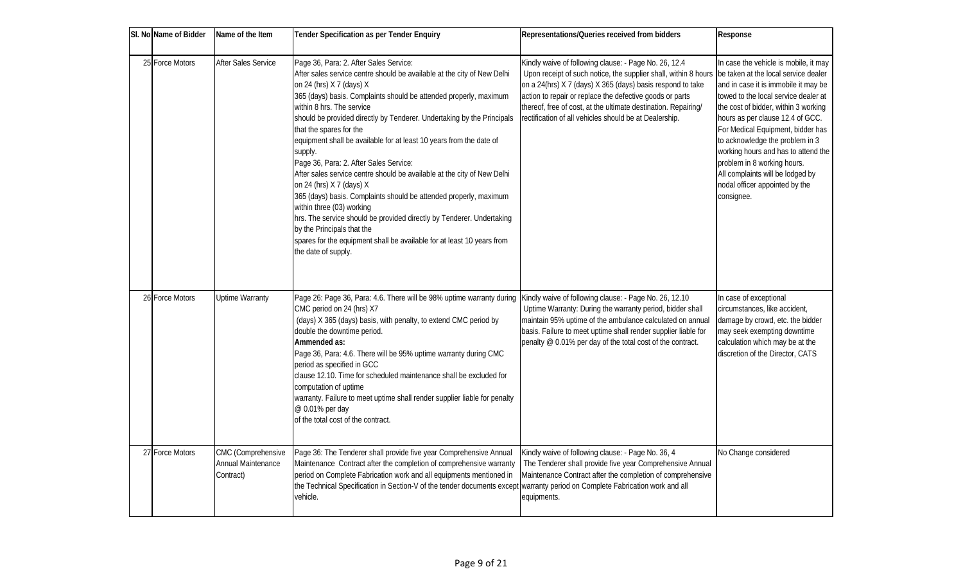| SI. No Name of Bidder | Name of the Item                                             | <b>Tender Specification as per Tender Enquiry</b>                                                                                                                                                                                                                                                                                                                                                                                                                                                                                                                                                                                                                                                                                                                                                                                                                                                       | Representations/Queries received from bidders                                                                                                                                                                                                                                                                                                                                  | Response                                                                                                                                                                                                                                                                                                                                                                                                                                                                   |
|-----------------------|--------------------------------------------------------------|---------------------------------------------------------------------------------------------------------------------------------------------------------------------------------------------------------------------------------------------------------------------------------------------------------------------------------------------------------------------------------------------------------------------------------------------------------------------------------------------------------------------------------------------------------------------------------------------------------------------------------------------------------------------------------------------------------------------------------------------------------------------------------------------------------------------------------------------------------------------------------------------------------|--------------------------------------------------------------------------------------------------------------------------------------------------------------------------------------------------------------------------------------------------------------------------------------------------------------------------------------------------------------------------------|----------------------------------------------------------------------------------------------------------------------------------------------------------------------------------------------------------------------------------------------------------------------------------------------------------------------------------------------------------------------------------------------------------------------------------------------------------------------------|
| 25 Force Motors       | After Sales Service                                          | Page 36, Para: 2. After Sales Service:<br>After sales service centre should be available at the city of New Delhi<br>on 24 (hrs) $X7$ (days) $X$<br>365 (days) basis. Complaints should be attended properly, maximum<br>within 8 hrs. The service<br>should be provided directly by Tenderer. Undertaking by the Principals<br>that the spares for the<br>equipment shall be available for at least 10 years from the date of<br>supply.<br>Page 36, Para: 2. After Sales Service:<br>After sales service centre should be available at the city of New Delhi<br>on 24 (hrs) $X7$ (days) $X$<br>365 (days) basis. Complaints should be attended properly, maximum<br>within three (03) working<br>hrs. The service should be provided directly by Tenderer. Undertaking<br>by the Principals that the<br>spares for the equipment shall be available for at least 10 years from<br>the date of supply. | Kindly waive of following clause: - Page No. 26, 12.4<br>Upon receipt of such notice, the supplier shall, within 8 hours<br>on a 24(hrs) X 7 (days) X 365 (days) basis respond to take<br>action to repair or replace the defective goods or parts<br>thereof, free of cost, at the ultimate destination. Repairing/<br>rectification of all vehicles should be at Dealership. | In case the vehicle is mobile, it may<br>be taken at the local service dealer<br>and in case it is immobile it may be<br>towed to the local service dealer at<br>the cost of bidder, within 3 working<br>hours as per dause 12.4 of GCC.<br>For Medical Equipment, bidder has<br>to acknowledge the problem in 3<br>working hours and has to attend the<br>problem in 8 working hours.<br>All complaints will be lodged by<br>nodal officer appointed by the<br>consignee. |
| 26 Force Motors       | <b>Uptime Warranty</b>                                       | Page 26: Page 36, Para: 4.6. There will be 98% uptime warranty during<br>CMC period on 24 (hrs) X7<br>(days) X 365 (days) basis, with penalty, to extend CMC period by<br>double the downtime period.<br>Ammended as:<br>Page 36, Para: 4.6. There will be 95% uptime warranty during CMC<br>period as specified in GCC<br>dause 12.10. Time for scheduled maintenance shall be excluded for<br>computation of uptime<br>warranty. Failure to meet uptime shall render supplier liable for penalty<br>@0.01% per day<br>of the total cost of the contract.                                                                                                                                                                                                                                                                                                                                              | Kindly waive of following clause: - Page No. 26, 12.10<br>Uptime Warranty: During the warranty period, bidder shall<br>maintain 95% uptime of the ambulance calculated on annual<br>basis. Failure to meet uptime shall render supplier liable for<br>penalty @ 0.01% per day of the total cost of the contract.                                                               | In case of exceptional<br>circumstances, like accident,<br>damage by crowd, etc. the bidder<br>may seek exempting downtime<br>calculation which may be at the<br>discretion of the Director, CATS                                                                                                                                                                                                                                                                          |
| 27 Force Motors       | CMC (Comprehensive<br><b>Annual Maintenance</b><br>Contract) | Page 36: The Tenderer shall provide five year Comprehensive Annual<br>Maintenance Contract after the completion of comprehensive warranty<br>period on Complete Fabrication work and all equipments mentioned in<br>the Technical Specification in Section-V of the tender documents excep<br>vehicle.                                                                                                                                                                                                                                                                                                                                                                                                                                                                                                                                                                                                  | Kindly waive of following clause: - Page No. 36, 4<br>The Tenderer shall provide five year Comprehensive Annual<br>Maintenance Contract after the completion of comprehensive<br>warranty period on Complete Fabrication work and all<br>equipments.                                                                                                                           | No Change considered                                                                                                                                                                                                                                                                                                                                                                                                                                                       |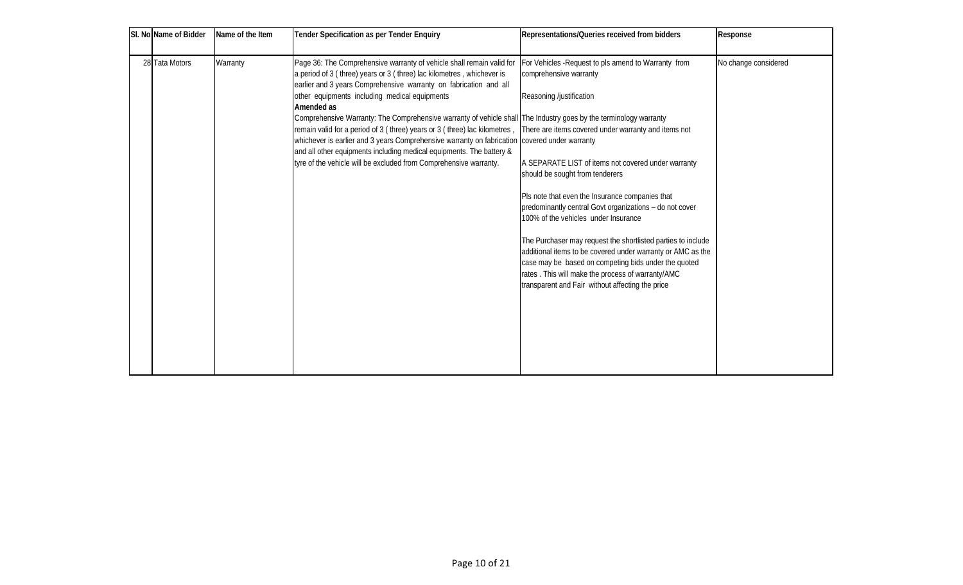| SI. No Name of Bidder | Name of the Item | <b>Tender Specification as per Tender Enquiry</b>                                                                                                                                                                   | Representations/Queries received from bidders                                                                                                                                                                                | <b>Response</b>      |
|-----------------------|------------------|---------------------------------------------------------------------------------------------------------------------------------------------------------------------------------------------------------------------|------------------------------------------------------------------------------------------------------------------------------------------------------------------------------------------------------------------------------|----------------------|
| 28 Tata Motors        | Warranty         | Page 36: The Comprehensive warranty of vehicle shall remain valid for<br>a period of 3 (three) years or 3 (three) lac kilometres, whichever is<br>earlier and 3 years Comprehensive warranty on fabrication and all | For Vehicles - Request to pls amend to Warranty from<br>comprehensive warranty                                                                                                                                               | No change considered |
|                       |                  | other equipments including medical equipments                                                                                                                                                                       | Reasoning/justification                                                                                                                                                                                                      |                      |
|                       |                  | Amended as<br>Comprehensive Warranty: The Comprehensive warranty of vehicle shall The Industry goes by the terminology warranty                                                                                     |                                                                                                                                                                                                                              |                      |
|                       |                  | remain valid for a period of 3 (three) years or 3 (three) lac kilometres,<br>whichever is earlier and 3 years Comprehensive warranty on fabrication   covered under warranty                                        | There are items covered under warranty and items not                                                                                                                                                                         |                      |
|                       |                  | and all other equipments including medical equipments. The battery &<br>tyre of the vehicle will be excluded from Comprehensive warranty.                                                                           | A SEPARATE LIST of items not covered under warranty<br>should be sought from tenderers                                                                                                                                       |                      |
|                       |                  |                                                                                                                                                                                                                     | Pls note that even the Insurance companies that<br>predominantly central Govt organizations - do not cover<br>100% of the vehicles under Insurance                                                                           |                      |
|                       |                  |                                                                                                                                                                                                                     | The Purchaser may request the shortlisted parties to indude                                                                                                                                                                  |                      |
|                       |                  |                                                                                                                                                                                                                     | additional items to be covered under warranty or AMC as the<br>case may be based on competing bids under the quoted<br>rates. This will make the process of warranty/AMC<br>transparent and Fair without affecting the price |                      |
|                       |                  |                                                                                                                                                                                                                     |                                                                                                                                                                                                                              |                      |
|                       |                  |                                                                                                                                                                                                                     |                                                                                                                                                                                                                              |                      |
|                       |                  |                                                                                                                                                                                                                     |                                                                                                                                                                                                                              |                      |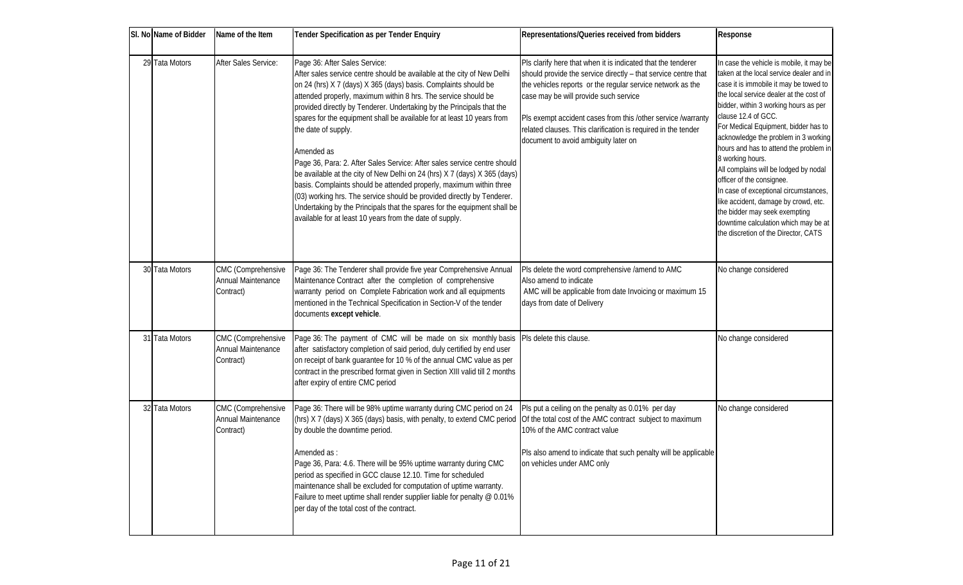| SI. No Name of Bidder | Name of the Item                                             | <b>Tender Specification as per Tender Enquiry</b>                                                                                                                                                                                                                                                                                                                                                                                                                                                                                                                                                                                                                                                                                                                                                                                                                                       | Representations/Queries received from bidders                                                                                                                                                                                                                                                                                                                                                                  | Response                                                                                                                                                                                                                                                                                                                                                                                                                                                                                                                                                                                                                                                        |
|-----------------------|--------------------------------------------------------------|-----------------------------------------------------------------------------------------------------------------------------------------------------------------------------------------------------------------------------------------------------------------------------------------------------------------------------------------------------------------------------------------------------------------------------------------------------------------------------------------------------------------------------------------------------------------------------------------------------------------------------------------------------------------------------------------------------------------------------------------------------------------------------------------------------------------------------------------------------------------------------------------|----------------------------------------------------------------------------------------------------------------------------------------------------------------------------------------------------------------------------------------------------------------------------------------------------------------------------------------------------------------------------------------------------------------|-----------------------------------------------------------------------------------------------------------------------------------------------------------------------------------------------------------------------------------------------------------------------------------------------------------------------------------------------------------------------------------------------------------------------------------------------------------------------------------------------------------------------------------------------------------------------------------------------------------------------------------------------------------------|
| 29 Tata Motors        | After Sales Service:                                         | Page 36: After Sales Service:<br>After sales service centre should be available at the city of New Delhi<br>on 24 (hrs) X 7 (days) X 365 (days) basis. Complaints should be<br>attended properly, maximum within 8 hrs. The service should be<br>provided directly by Tenderer. Undertaking by the Principals that the<br>spares for the equipment shall be available for at least 10 years from<br>the date of supply.<br>Amended as<br>Page 36, Para: 2. After Sales Service: After sales service centre should<br>be available at the city of New Delhi on 24 (hrs) X 7 (days) X 365 (days)<br>basis. Complaints should be attended properly, maximum within three<br>(03) working hrs. The service should be provided directly by Tenderer.<br>Undertaking by the Principals that the spares for the equipment shall be<br>available for at least 10 years from the date of supply. | Pls clarify here that when it is indicated that the tenderer<br>should provide the service directly - that service centre that<br>the vehicles reports or the regular service network as the<br>case may be will provide such service<br>Pls exempt accident cases from this /other service /warranty<br>related clauses. This clarification is required in the tender<br>document to avoid ambiguity later on | In case the vehicle is mobile, it may be<br>taken at the local service dealer and in<br>case it is immobile it may be towed to<br>the local service dealer at the cost of<br>bidder, within 3 working hours as per<br>clause 12.4 of GCC.<br>For Medical Equipment, bidder has to<br>acknowledge the problem in 3 working<br>hours and has to attend the problem in<br>8 working hours.<br>All complains will be lodged by nodal<br>officer of the consignee.<br>In case of exceptional circumstances,<br>like accident, damage by crowd, etc.<br>the bidder may seek exempting<br>downtime calculation which may be at<br>the discretion of the Director, CATS |
| 30 Tata Motors        | CMC (Comprehensive<br><b>Annual Maintenance</b><br>Contract) | Page 36: The Tenderer shall provide five year Comprehensive Annual<br>Maintenance Contract after the completion of comprehensive<br>warranty period on Complete Fabrication work and all equipments<br>mentioned in the Technical Specification in Section-V of the tender<br>documents except vehicle.                                                                                                                                                                                                                                                                                                                                                                                                                                                                                                                                                                                 | Pls delete the word comprehensive /amend to AMC<br>Also amend to indicate<br>AMC will be applicable from date Invoicing or maximum 15<br>days from date of Delivery                                                                                                                                                                                                                                            | No change considered                                                                                                                                                                                                                                                                                                                                                                                                                                                                                                                                                                                                                                            |
| 31 Tata Motors        | CMC (Comprehensive<br><b>Annual Maintenance</b><br>Contract) | Page 36: The payment of CMC will be made on six monthly basis<br>after satisfactory completion of said period, duly certified by end user<br>on receipt of bank guarantee for 10 % of the annual CMC value as per<br>contract in the prescribed format given in Section XIII valid till 2 months<br>after expiry of entire CMC period                                                                                                                                                                                                                                                                                                                                                                                                                                                                                                                                                   | Pls delete this clause.                                                                                                                                                                                                                                                                                                                                                                                        | No change considered                                                                                                                                                                                                                                                                                                                                                                                                                                                                                                                                                                                                                                            |
| 32 Tata Motors        | CMC (Comprehensive<br><b>Annual Maintenance</b><br>Contract) | Page 36: There will be 98% uptime warranty during CMC period on 24<br>(hrs) X7 (days) X365 (days) basis, with penalty, to extend CMC period<br>by double the downtime period.<br>Amended as:<br>Page 36, Para: 4.6. There will be 95% uptime warranty during CMC<br>period as specified in GCC dause 12.10. Time for scheduled<br>maintenance shall be excluded for computation of uptime warranty.<br>Failure to meet uptime shall render supplier liable for penalty @ 0.01%<br>per day of the total cost of the contract.                                                                                                                                                                                                                                                                                                                                                            | Pls put a ceiling on the penalty as 0.01% per day<br>Of the total cost of the AMC contract subject to maximum<br>10% of the AMC contract value<br>Pls also amend to indicate that such penalty will be applicable<br>on vehicles under AMC only                                                                                                                                                                | No change considered                                                                                                                                                                                                                                                                                                                                                                                                                                                                                                                                                                                                                                            |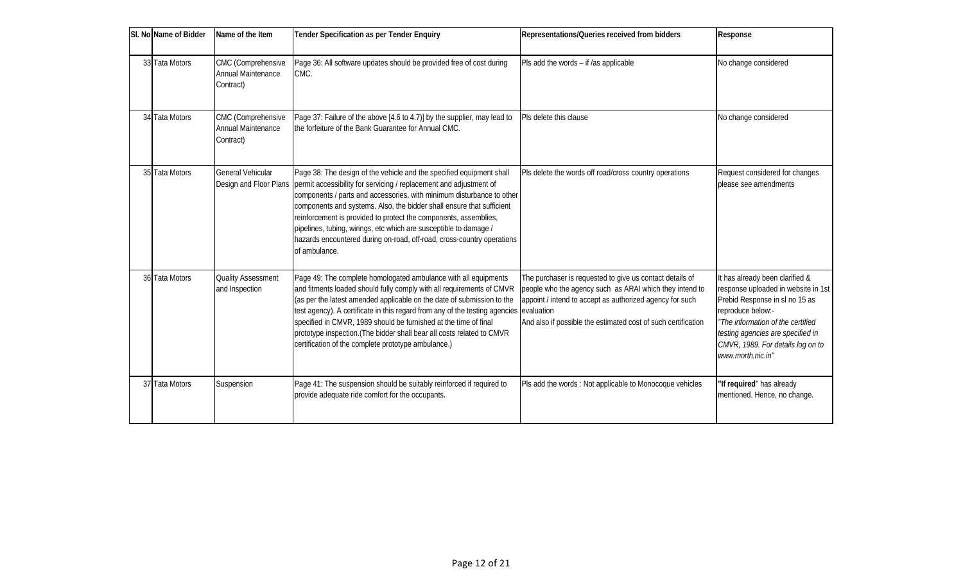| SI. No Name of Bidder | Name of the Item                                             | <b>Tender Specification as per Tender Enquiry</b>                                                                                                                                                                                                                                                                                                                                                                                                                                                                                                         | Representations/Queries received from bidders                                                                                                                                                                                                    | Response                                                                                                                                                                                                                                                         |
|-----------------------|--------------------------------------------------------------|-----------------------------------------------------------------------------------------------------------------------------------------------------------------------------------------------------------------------------------------------------------------------------------------------------------------------------------------------------------------------------------------------------------------------------------------------------------------------------------------------------------------------------------------------------------|--------------------------------------------------------------------------------------------------------------------------------------------------------------------------------------------------------------------------------------------------|------------------------------------------------------------------------------------------------------------------------------------------------------------------------------------------------------------------------------------------------------------------|
| 33 Tata Motors        | CMC (Comprehensive<br><b>Annual Maintenance</b><br>Contract) | Page 36: All software updates should be provided free of cost during<br>CMC.                                                                                                                                                                                                                                                                                                                                                                                                                                                                              | Pls add the words - if /as applicable                                                                                                                                                                                                            | No change considered                                                                                                                                                                                                                                             |
| 34 Tata Motors        | CMC (Comprehensive<br>Annual Maintenance<br>Contract)        | Page 37: Failure of the above [4.6 to 4.7)] by the supplier, may lead to<br>the forfeiture of the Bank Guarantee for Annual CMC.                                                                                                                                                                                                                                                                                                                                                                                                                          | Pls delete this clause                                                                                                                                                                                                                           | No change considered                                                                                                                                                                                                                                             |
| 35 Tata Motors        | General Vehicular                                            | Page 38: The design of the vehicle and the specified equipment shall<br>Design and Floor Plans   permit accessibility for servicing / replacement and adjustment of<br>components / parts and accessories, with minimum disturbance to other<br>components and systems. Also, the bidder shall ensure that sufficient<br>reinforcement is provided to protect the components, assemblies,<br>pipelines, tubing, wirings, etc which are susceptible to damage /<br>hazards encountered during on-road, off-road, cross-country operations<br>of ambulance. | Pls delete the words off road/cross country operations                                                                                                                                                                                           | Request considered for changes<br>please see amendments                                                                                                                                                                                                          |
| 36 Tata Motors        | <b>Quality Assessment</b><br>and Inspection                  | Page 49: The complete homologated ambulance with all equipments<br>and fitments loaded should fully comply with all requirements of CMVR<br>(as per the latest amended applicable on the date of submission to the<br>test agency). A certificate in this regard from any of the testing agencies evaluation<br>specified in CMVR, 1989 should be furnished at the time of final<br>prototype inspection. (The bidder shall bear all costs related to CMVR<br>certification of the complete prototype ambulance.)                                         | The purchaser is requested to give us contact details of<br>people who the agency such as ARAI which they intend to<br>appoint / intend to accept as authorized agency for such<br>And also if possible the estimated cost of such certification | It has already been darified &<br>response uploaded in website in 1st<br>Prebid Response in sl no 15 as<br>reproduce below.-<br>"The information of the certified<br>testing agencies are specified in<br>CM/R, 1989. For details log on to<br>www.morth.nic.in" |
| 37 Tata Motors        | Suspension                                                   | Page 41: The suspension should be suitably reinforced if required to<br>provide adequate ride comfort for the occupants.                                                                                                                                                                                                                                                                                                                                                                                                                                  | Pls add the words: Not applicable to Monocoque vehicles                                                                                                                                                                                          | "If required" has already<br>mentioned. Hence, no change.                                                                                                                                                                                                        |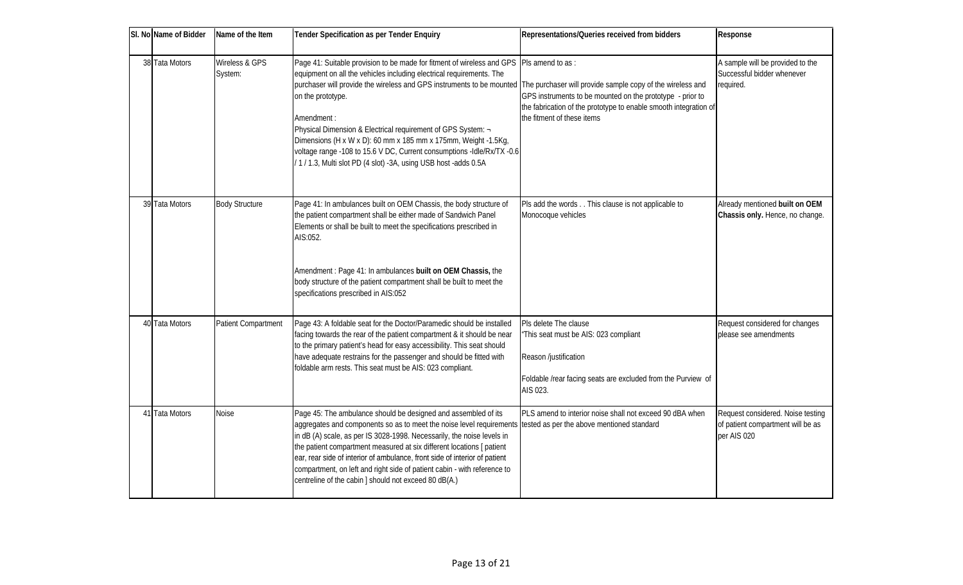| SI. No Name of Bidder | Name of the Item                 | <b>Tender Specification as per Tender Enquiry</b>                                                                                                                                                                                                                                                                                                                                                                                                                                                                                                                                                                     | Representations/Queries received from bidders                                                                                                                     | Response                                                                              |
|-----------------------|----------------------------------|-----------------------------------------------------------------------------------------------------------------------------------------------------------------------------------------------------------------------------------------------------------------------------------------------------------------------------------------------------------------------------------------------------------------------------------------------------------------------------------------------------------------------------------------------------------------------------------------------------------------------|-------------------------------------------------------------------------------------------------------------------------------------------------------------------|---------------------------------------------------------------------------------------|
| 38 Tata Motors        | Wireless & GPS<br><b>System:</b> | Page 41: Suitable provision to be made for fitment of wireless and GPS   PIs amend to as:<br>equipment on all the vehicles including electrical requirements. The<br>purchaser will provide the wireless and GPS instruments to be mounted The purchaser will provide sample copy of the wireless and<br>on the prototype.<br>Amendment:<br>Physical Dimension & Electrical requirement of GPS System: -<br>Dimensions (H x W x D): 60 mm x 185 mm x 175mm, Weight -1.5Kg,<br>voltage range -108 to 15.6 V DC, Current consumptions -Idle/Rx/TX -0.6<br>/1/1.3, Multi slot PD (4 slot) -3A, using USB host -adds 0.5A | GPS instruments to be mounted on the prototype - prior to<br>the fabrication of the prototype to enable smooth integration of<br>the fitment of these items       | A sample will be provided to the<br>Successful bidder whenever<br>required.           |
| 39 Tata Motors        | <b>Body Structure</b>            | Page 41: In ambulances built on OEM Chassis, the body structure of<br>the patient compartment shall be either made of Sandwich Panel<br>Elements or shall be built to meet the specifications prescribed in<br>AIS:052.<br>Amendment: Page 41: In ambulances built on OEM Chassis, the<br>body structure of the patient compartment shall be built to meet the<br>specifications prescribed in AIS:052                                                                                                                                                                                                                | Pls add the words This clause is not applicable to<br>Monocoque vehicles                                                                                          | Already mentioned built on OEM<br>Chassis only. Hence, no change.                     |
| 40 Tata Motors        | Patient Compartment              | Page 43: A foldable seat for the Doctor/Paramedic should be installed<br>facing towards the rear of the patient compartment & it should be near<br>to the primary patient's head for easy accessibility. This seat should<br>have adequate restrains for the passenger and should be fitted with<br>foldable arm rests. This seat must be AIS: 023 compliant.                                                                                                                                                                                                                                                         | Pls delete The clause<br>"This seat must be AIS: 023 compliant<br>Reason/justification<br>Foldable/rear facing seats are excluded from the Purview of<br>AIS 023. | Request considered for changes<br>please see amendments                               |
| 41 Tata Motors        | Noise                            | Page 45: The ambulance should be designed and assembled of its<br>aggregates and components so as to meet the noise level requirements tested as per the above mentioned standard<br>in dB (A) scale, as per IS 3028-1998. Necessarily, the noise levels in<br>the patient compartment measured at six different locations [ patient<br>ear, rear side of interior of ambulance, front side of interior of patient<br>compartment, on left and right side of patient cabin - with reference to<br>centreline of the cabin ] should not exceed 80 dB(A)                                                                | PLS amend to interior noise shall not exceed 90 dBA when                                                                                                          | Request considered. Noise testing<br>of patient compartment will be as<br>per AIS 020 |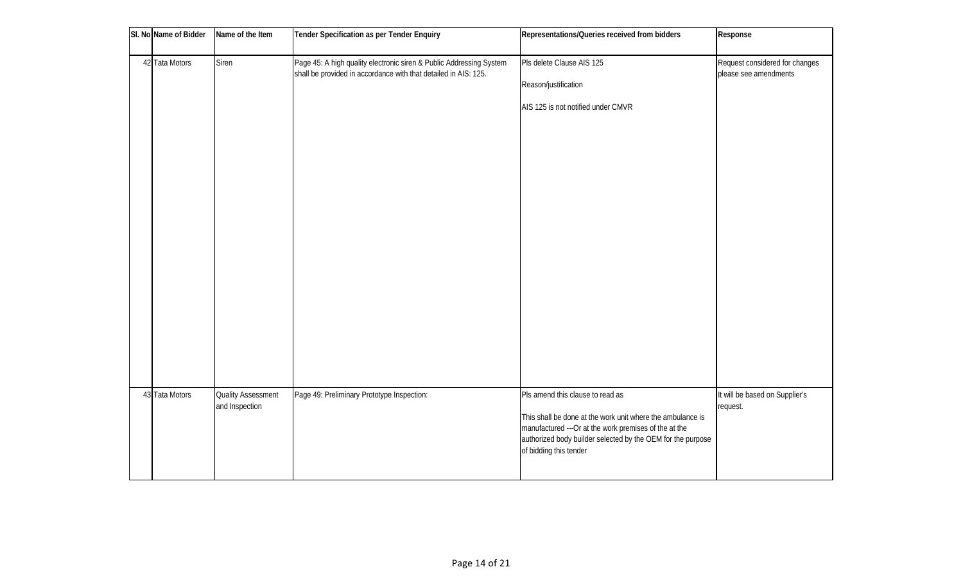| SI. No Name of Bidder | Name of the Item                            | Tender Specification as per Tender Enquiry                                                                                             | Representations/Queries received from bidders                                                                                                                                                                                                     | Response                                                |
|-----------------------|---------------------------------------------|----------------------------------------------------------------------------------------------------------------------------------------|---------------------------------------------------------------------------------------------------------------------------------------------------------------------------------------------------------------------------------------------------|---------------------------------------------------------|
| 42 Tata Motors        | Siren                                       | Page 45: A high quality electronic siren & Public Addressing System<br>shall be provided in accordance with that detailed in AIS: 125. | Pls delete Clause AIS 125<br>Reason/justification<br>AIS 125 is not notified under CMVR                                                                                                                                                           | Request considered for changes<br>please see amendments |
| 43 Tata Motors        | <b>Quality Assessment</b><br>and Inspection | Page 49: Preliminary Prototype Inspection:                                                                                             | Pls amend this clause to read as<br>This shall be done at the work unit where the ambulance is<br>manufactured --- Or at the work premises of the at the<br>authorized body builder selected by the OEM for the purpose<br>of bidding this tender | It will be based on Supplier's<br>request.              |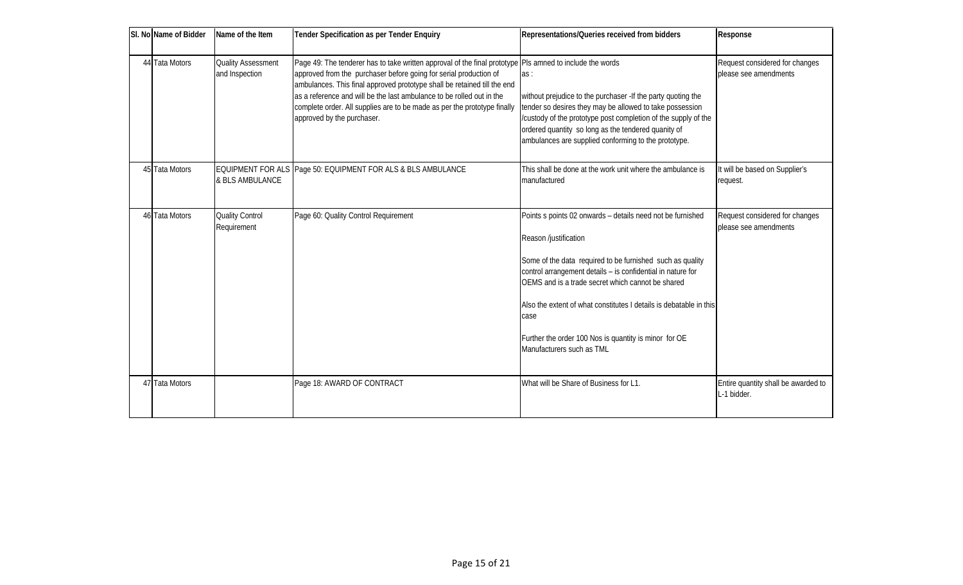| SI. No Name of Bidder | Name of the Item                            | <b>Tender Specification as per Tender Enquiry</b>                                                                                                                                                                                                                                                                                                                                                                                           | Representations/Queries received from bidders                                                                                                                                                                                                                                                                                                                                                                                           | Response                                                |
|-----------------------|---------------------------------------------|---------------------------------------------------------------------------------------------------------------------------------------------------------------------------------------------------------------------------------------------------------------------------------------------------------------------------------------------------------------------------------------------------------------------------------------------|-----------------------------------------------------------------------------------------------------------------------------------------------------------------------------------------------------------------------------------------------------------------------------------------------------------------------------------------------------------------------------------------------------------------------------------------|---------------------------------------------------------|
| 44 Tata Motors        | <b>Quality Assessment</b><br>and Inspection | Page 49: The tenderer has to take written approval of the final prototype PIs armed to indude the words<br>approved from the purchaser before going for serial production of<br>ambulances. This final approved prototype shall be retained till the end<br>as a reference and will be the last ambulance to be rolled out in the<br>complete order. All supplies are to be made as per the prototype finally<br>approved by the purchaser. | as:<br>without prejudice to the purchaser -If the party quoting the<br>tender so desires they may be allowed to take possession<br>/custody of the prototype post completion of the supply of the<br>ordered quantity so long as the tendered quanity of<br>ambulances are supplied conforming to the prototype.                                                                                                                        | Request considered for changes<br>please see amendments |
| 45 Tata Motors        | & BLS AMBULANCE                             | EQUIPMENT FOR ALS Page 50: EQUIPMENT FOR ALS & BLS AMBULANCE                                                                                                                                                                                                                                                                                                                                                                                | This shall be done at the work unit where the ambulance is<br>manufactured                                                                                                                                                                                                                                                                                                                                                              | It will be based on Supplier's<br>request.              |
| 46 Tata Motors        | Quality Control<br>Requirement              | Page 60: Quality Control Requirement                                                                                                                                                                                                                                                                                                                                                                                                        | Points s points 02 onwards - details need not be furnished<br>Reason/justification<br>Some of the data required to be furnished such as quality<br>control arrangement details - is confidential in nature for<br>OEMS and is a trade secret which cannot be shared<br>Also the extent of what constitutes I details is debatable in this<br>case<br>Further the order 100 Nos is quantity is minor for OE<br>Manufacturers such as TML | Request considered for changes<br>please see amendments |
| 47 Tata Motors        |                                             | Page 18: AWARD OF CONTRACT                                                                                                                                                                                                                                                                                                                                                                                                                  | What will be Share of Business for L1.                                                                                                                                                                                                                                                                                                                                                                                                  | Entire quantity shall be awarded to<br>L-1 bidder.      |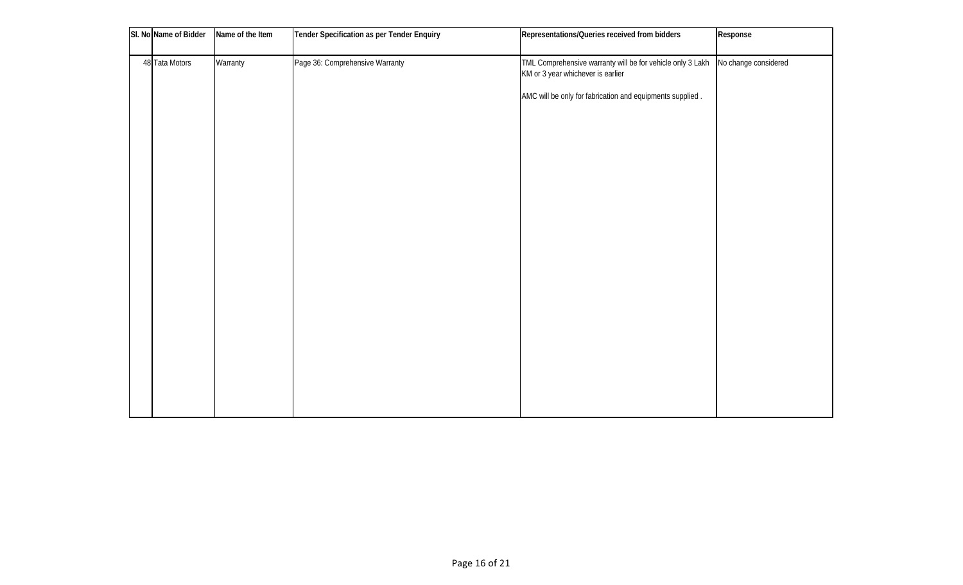| SI. No Name of Bidder | Name of the Item | <b>Tender Specification as per Tender Enquiry</b> | Representations/Queries received from bidders                                                                          | Response |
|-----------------------|------------------|---------------------------------------------------|------------------------------------------------------------------------------------------------------------------------|----------|
| 48 Tata Motors        | Warranty         | Page 36: Comprehensive Warranty                   | TML Comprehensive warranty will be for vehicle only 3 Lakh   No change considered<br>KM or 3 year whichever is earlier |          |
|                       |                  |                                                   | AMC will be only for fabrication and equipments supplied.                                                              |          |
|                       |                  |                                                   |                                                                                                                        |          |
|                       |                  |                                                   |                                                                                                                        |          |
|                       |                  |                                                   |                                                                                                                        |          |
|                       |                  |                                                   |                                                                                                                        |          |
|                       |                  |                                                   |                                                                                                                        |          |
|                       |                  |                                                   |                                                                                                                        |          |
|                       |                  |                                                   |                                                                                                                        |          |
|                       |                  |                                                   |                                                                                                                        |          |
|                       |                  |                                                   |                                                                                                                        |          |
|                       |                  |                                                   |                                                                                                                        |          |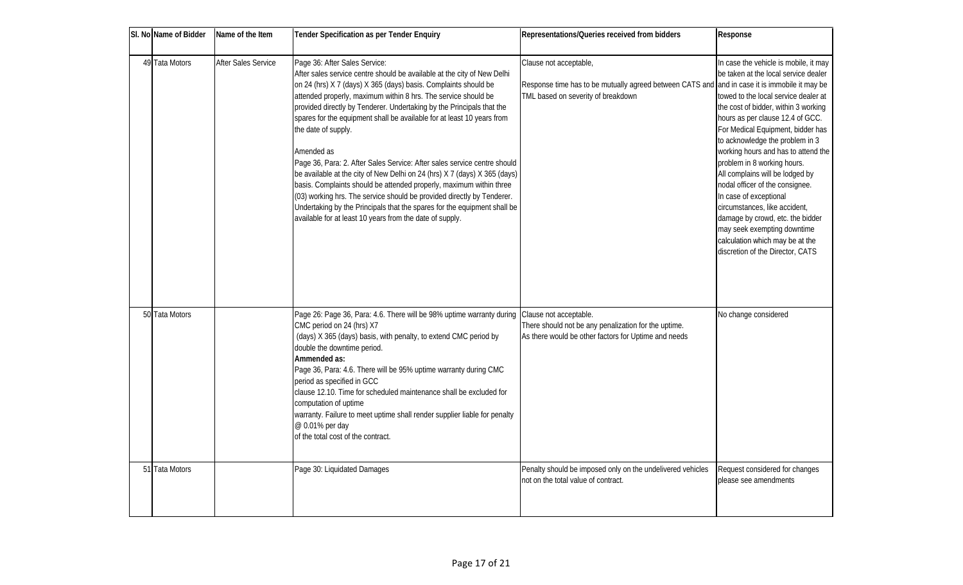| SI. No Name of Bidder | Name of the Item           | <b>Tender Specification as per Tender Enquiry</b>                                                                                                                                                                                                                                                                                                                                                                                                                                                                                                                                                                                                                                                                                                                                                                                                                                       | Representations/Queries received from bidders                                                                                                                 | Response                                                                                                                                                                                                                                                                                                                                                                                                                                                                                                                                                                                                                  |
|-----------------------|----------------------------|-----------------------------------------------------------------------------------------------------------------------------------------------------------------------------------------------------------------------------------------------------------------------------------------------------------------------------------------------------------------------------------------------------------------------------------------------------------------------------------------------------------------------------------------------------------------------------------------------------------------------------------------------------------------------------------------------------------------------------------------------------------------------------------------------------------------------------------------------------------------------------------------|---------------------------------------------------------------------------------------------------------------------------------------------------------------|---------------------------------------------------------------------------------------------------------------------------------------------------------------------------------------------------------------------------------------------------------------------------------------------------------------------------------------------------------------------------------------------------------------------------------------------------------------------------------------------------------------------------------------------------------------------------------------------------------------------------|
| 49 Tata Motors        | <b>After Sales Service</b> | Page 36: After Sales Service:<br>After sales service centre should be available at the city of New Delhi<br>on 24 (hrs) X 7 (days) X 365 (days) basis. Complaints should be<br>attended properly, maximum within 8 hrs. The service should be<br>provided directly by Tenderer. Undertaking by the Principals that the<br>spares for the equipment shall be available for at least 10 years from<br>the date of supply.<br>Amended as<br>Page 36, Para: 2. After Sales Service: After sales service centre should<br>be available at the city of New Delhi on 24 (hrs) X 7 (days) X 365 (days)<br>basis. Complaints should be attended properly, maximum within three<br>(03) working hrs. The service should be provided directly by Tenderer.<br>Undertaking by the Principals that the spares for the equipment shall be<br>available for at least 10 years from the date of supply. | Clause not acceptable,<br>Response time has to be mutually agreed between CATS and and in case it is immobile it may be<br>TML based on severity of breakdown | In case the vehicle is mobile, it may<br>be taken at the local service dealer<br>towed to the local service dealer at<br>the cost of bidder, within 3 working<br>hours as per dause 12.4 of GCC.<br>For Medical Equipment, bidder has<br>to acknowledge the problem in 3<br>working hours and has to attend the<br>problem in 8 working hours.<br>All complains will be lodged by<br>nodal officer of the consignee.<br>In case of exceptional<br>circumstances, like accident,<br>damage by crowd, etc. the bidder<br>may seek exempting downtime<br>calculation which may be at the<br>discretion of the Director, CATS |
| 50 Tata Motors        |                            | Page 26: Page 36, Para: 4.6. There will be 98% uptime warranty during<br>CMC period on 24 (hrs) X7<br>(days) X 365 (days) basis, with penalty, to extend CMC period by<br>double the downtime period.<br>Ammended as:<br>Page 36, Para: 4.6. There will be 95% uptime warranty during CMC<br>period as specified in GCC<br>dause 12.10. Time for scheduled maintenance shall be excluded for<br>computation of uptime<br>warranty. Failure to meet uptime shall render supplier liable for penalty<br>@0.01% per day<br>of the total cost of the contract.                                                                                                                                                                                                                                                                                                                              | Clause not acceptable.<br>There should not be any penalization for the uptime.<br>As there would be other factors for Uptime and needs                        | No change considered                                                                                                                                                                                                                                                                                                                                                                                                                                                                                                                                                                                                      |
| 51 Tata Motors        |                            | Page 30: Liquidated Damages                                                                                                                                                                                                                                                                                                                                                                                                                                                                                                                                                                                                                                                                                                                                                                                                                                                             | Penalty should be imposed only on the undelivered vehicles<br>not on the total value of contract.                                                             | Request considered for changes<br>please see amendments                                                                                                                                                                                                                                                                                                                                                                                                                                                                                                                                                                   |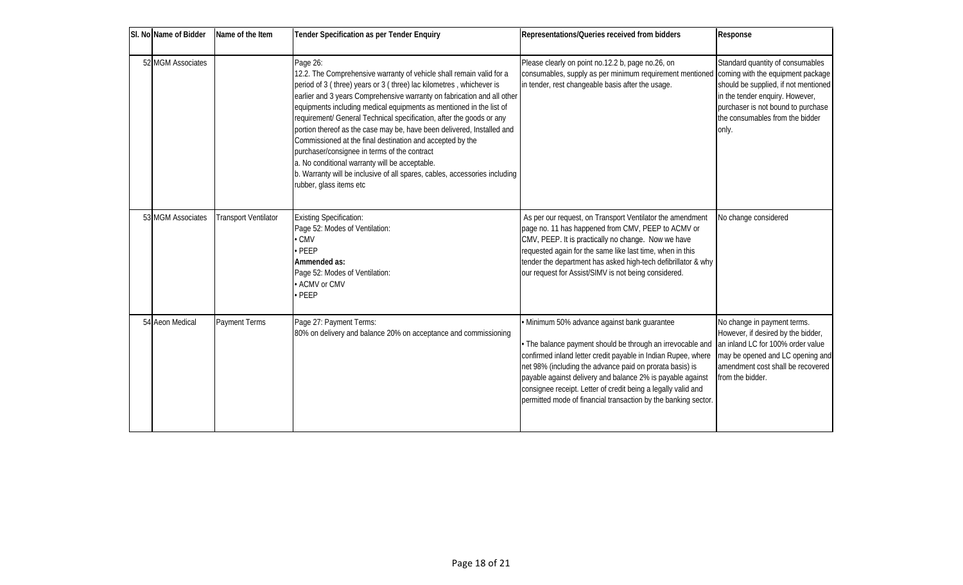| SI. No Name of Bidder | Name of the Item            | <b>Tender Specification as per Tender Enquiry</b>                                                                                                                                                                                                                                                                                                                                                                                                                                                                                                                                                                                                                                                                                   | Representations/Queries received from bidders                                                                                                                                                                                                                                                                                                                                                                                            | Response                                                                                                                                                                                            |
|-----------------------|-----------------------------|-------------------------------------------------------------------------------------------------------------------------------------------------------------------------------------------------------------------------------------------------------------------------------------------------------------------------------------------------------------------------------------------------------------------------------------------------------------------------------------------------------------------------------------------------------------------------------------------------------------------------------------------------------------------------------------------------------------------------------------|------------------------------------------------------------------------------------------------------------------------------------------------------------------------------------------------------------------------------------------------------------------------------------------------------------------------------------------------------------------------------------------------------------------------------------------|-----------------------------------------------------------------------------------------------------------------------------------------------------------------------------------------------------|
| 52 MGM Associates     |                             | Page 26:<br>12.2. The Comprehensive warranty of vehicle shall remain valid for a<br>period of 3 (three) years or 3 (three) lac kilometres, whichever is<br>earlier and 3 years Comprehensive warranty on fabrication and all other<br>equipments including medical equipments as mentioned in the list of<br>requirement/ General Technical specification, after the goods or any<br>portion thereof as the case may be, have been delivered, Installed and<br>Commissioned at the final destination and accepted by the<br>purchaser/consignee in terms of the contract<br>a. No conditional warranty will be acceptable.<br>b. Warranty will be inclusive of all spares, cables, accessories including<br>rubber, glass items etc | Please clearly on point no.12.2 b, page no.26, on<br>consumables, supply as per minimum requirement mentioned coming with the equipment package<br>in tender, rest changeable basis after the usage.                                                                                                                                                                                                                                     | Standard quantity of consumables<br>should be supplied, if not mentioned<br>in the tender enquiry. However,<br>purchaser is not bound to purchase<br>the consumables from the bidder<br>only.       |
| 53 MGM Associates     | <b>Transport Ventilator</b> | Existing Specification:<br>Page 52: Modes of Ventilation:<br>$\bullet$ CMV<br>$\cdot$ PEEP<br>Ammended as:<br>Page 52: Modes of Ventilation:<br>• ACMV or CMV<br>$\bullet$ PEEP                                                                                                                                                                                                                                                                                                                                                                                                                                                                                                                                                     | As per our request, on Transport Ventilator the amendment<br>page no. 11 has happened from CMV, PEEP to ACMV or<br>CMV, PEEP. It is practically no change. Now we have<br>requested again for the same like last time, when in this<br>tender the department has asked high-tech defibrillator & why<br>our request for Assist/SIMV is not being considered.                                                                             | No change considered                                                                                                                                                                                |
| 54 Aeon Medical       | Payment Terms               | Page 27: Payment Terms:<br>80% on delivery and balance 20% on acceptance and commissioning                                                                                                                                                                                                                                                                                                                                                                                                                                                                                                                                                                                                                                          | · Minimum 50% advance against bank guarantee<br>. The balance payment should be through an irrevocable and<br>confirmed inland letter credit payable in Indian Rupee, where<br>net 98% (including the advance paid on prorata basis) is<br>payable against delivery and balance 2% is payable against<br>consignee receipt. Letter of credit being a legally valid and<br>permitted mode of financial transaction by the banking sector. | No change in payment terms.<br>However, if desired by the bidder,<br>an inland LC for 100% order value<br>may be opened and LC opening and<br>amendment cost shall be recovered<br>from the bidder. |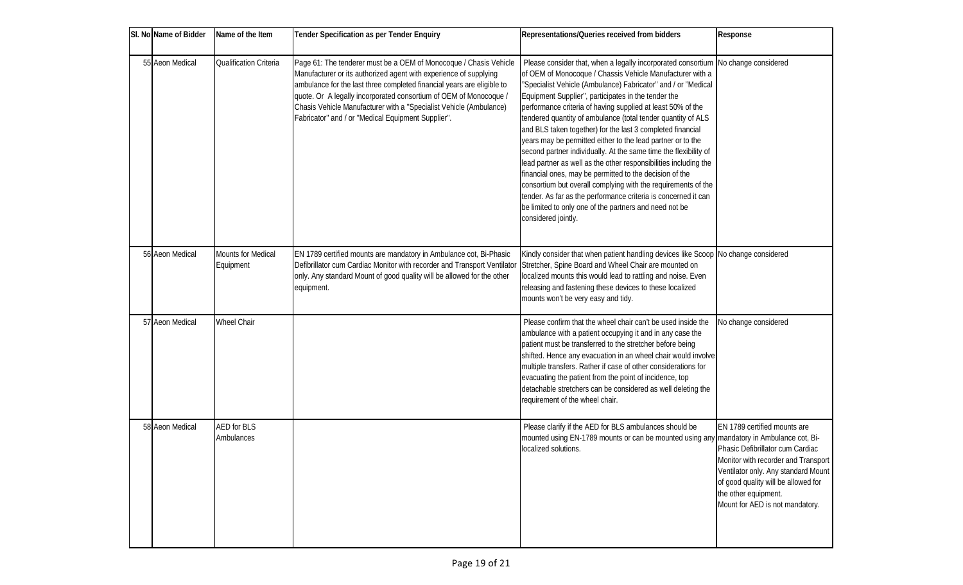| SI. No Name of Bidder | Name of the Item                       | <b>Tender Specification as per Tender Enquiry</b>                                                                                                                                                                                                                                                                                                                                                                | Representations/Queries received from bidders                                                                                                                                                                                                                                                                                                                                                                                                                                                                                                                                                                                                                                                                                                                                                                                                                                                                                                             | Response                                                                                                                                                                                                                                         |
|-----------------------|----------------------------------------|------------------------------------------------------------------------------------------------------------------------------------------------------------------------------------------------------------------------------------------------------------------------------------------------------------------------------------------------------------------------------------------------------------------|-----------------------------------------------------------------------------------------------------------------------------------------------------------------------------------------------------------------------------------------------------------------------------------------------------------------------------------------------------------------------------------------------------------------------------------------------------------------------------------------------------------------------------------------------------------------------------------------------------------------------------------------------------------------------------------------------------------------------------------------------------------------------------------------------------------------------------------------------------------------------------------------------------------------------------------------------------------|--------------------------------------------------------------------------------------------------------------------------------------------------------------------------------------------------------------------------------------------------|
| 55 Aeon Medical       | <b>Qualification Criteria</b>          | Page 61: The tenderer must be a OEM of Monocoque / Chasis Vehide<br>Manufacturer or its authorized agent with experience of supplying<br>ambulance for the last three completed financial years are eligible to<br>quote. Or A legally incorporated consortium of OEM of Monocoque /<br>Chasis Vehicle Manufacturer with a "Specialist Vehicle (Ambulance)<br>Fabricator" and / or "Medical Equipment Supplier". | Please consider that, when a legally incorporated consortium No change considered<br>of OEM of Monocoque / Chassis Vehicle Manufacturer with a<br>"Specialist Vehicle (Ambulance) Fabricator" and / or "Medical<br>Equipment Supplier", participates in the tender the<br>performance criteria of having supplied at least 50% of the<br>tendered quantity of ambulance (total tender quantity of ALS<br>and BLS taken together) for the last 3 completed financial<br>years may be permitted either to the lead partner or to the<br>second partner individually. At the same time the flexibility of<br>lead partner as well as the other responsibilities including the<br>financial ones, may be permitted to the decision of the<br>consortium but overall complying with the requirements of the<br>tender. As far as the performance criteria is concerned it can<br>be limited to only one of the partners and need not be<br>considered jointly. |                                                                                                                                                                                                                                                  |
| 56 Aeon Medical       | <b>Mounts for Medical</b><br>Equipment | EN 1789 certified mounts are mandatory in Ambulance cot, Bi-Phasic<br>Defibrillator cum Cardiac Monitor with recorder and Transport Ventilator<br>only. Any standard Mount of good quality will be allowed for the other<br>equipment.                                                                                                                                                                           | Kindly consider that when patient handling devices like Scoop No change considered<br>Stretcher, Spine Board and Wheel Chair are mounted on<br>localized mounts this would lead to rattling and noise. Even<br>releasing and fastening these devices to these localized<br>mounts won't be very easy and tidy.                                                                                                                                                                                                                                                                                                                                                                                                                                                                                                                                                                                                                                            |                                                                                                                                                                                                                                                  |
| 57 Aeon Medical       | <b>Wheel Chair</b>                     |                                                                                                                                                                                                                                                                                                                                                                                                                  | Please confirm that the wheel chair can't be used inside the<br>ambulance with a patient occupying it and in any case the<br>patient must be transferred to the stretcher before being<br>shifted. Hence any evacuation in an wheel chair would involve<br>multiple transfers. Rather if case of other considerations for<br>evacuating the patient from the point of incidence, top<br>detachable stretchers can be considered as well deleting the<br>requirement of the wheel chair.                                                                                                                                                                                                                                                                                                                                                                                                                                                                   | No change considered                                                                                                                                                                                                                             |
| 58 Aeon Medical       | AED for BLS<br>Ambulances              |                                                                                                                                                                                                                                                                                                                                                                                                                  | Please darify if the AED for BLS ambulances should be<br>mounted using EN-1789 mounts or can be mounted using any mandatory in Ambulance cot, Bi-<br>localized solutions.                                                                                                                                                                                                                                                                                                                                                                                                                                                                                                                                                                                                                                                                                                                                                                                 | EN 1789 certified mounts are<br>Phasic Defibrillator cum Cardiac<br>Monitor with recorder and Transport<br>Ventilator only. Any standard Mount<br>of good quality will be allowed for<br>the other equipment.<br>Mount for AED is not mandatory. |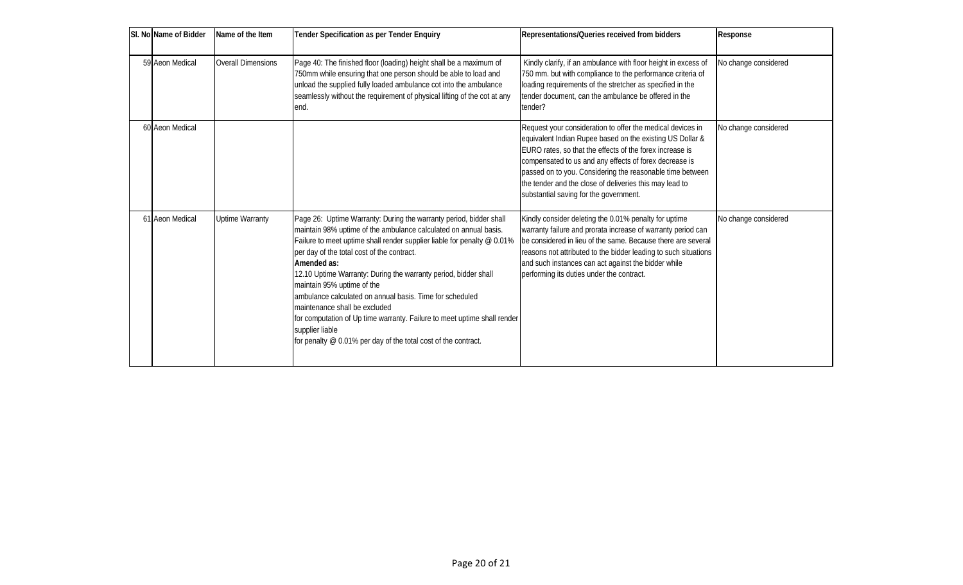| SI. No Name of Bidder | Name of the Item       | <b>Tender Specification as per Tender Enquiry</b>                                                                                                                                                                                                                                                                                                                                                                                                                                                                                                                                                                                             | Representations/Queries received from bidders                                                                                                                                                                                                                                                                                                                                                                   | <b>Response</b>      |
|-----------------------|------------------------|-----------------------------------------------------------------------------------------------------------------------------------------------------------------------------------------------------------------------------------------------------------------------------------------------------------------------------------------------------------------------------------------------------------------------------------------------------------------------------------------------------------------------------------------------------------------------------------------------------------------------------------------------|-----------------------------------------------------------------------------------------------------------------------------------------------------------------------------------------------------------------------------------------------------------------------------------------------------------------------------------------------------------------------------------------------------------------|----------------------|
| 59 Aeon Medical       | Overall Dimensions     | Page 40: The finished floor (loading) height shall be a maximum of<br>750mm while ensuring that one person should be able to load and<br>unload the supplied fully loaded ambulance cot into the ambulance<br>seamlessly without the requirement of physical lifting of the cot at any<br>lend.                                                                                                                                                                                                                                                                                                                                               | Kindly clarify, if an ambulance with floor height in excess of<br>750 mm. but with compliance to the performance criteria of<br>loading requirements of the stretcher as specified in the<br>tender document, can the ambulance be offered in the<br>tender?                                                                                                                                                    | No change considered |
| 60 Aeon Medical       |                        |                                                                                                                                                                                                                                                                                                                                                                                                                                                                                                                                                                                                                                               | Request your consideration to offer the medical devices in<br>equivalent Indian Rupee based on the existing US Dollar &<br>EURO rates, so that the effects of the forex increase is<br>compensated to us and any effects of forex decrease is<br>passed on to you. Considering the reasonable time between<br>the tender and the close of deliveries this may lead to<br>substantial saving for the government. | No change considered |
| 61 Aeon Medical       | <b>Uptime Warranty</b> | Page 26: Uptime Warranty: During the warranty period, bidder shall<br>maintain 98% uptime of the ambulance calculated on annual basis.<br>Failure to meet uptime shall render supplier liable for penalty @ 0.01%<br>per day of the total cost of the contract.<br>Amended as:<br>12.10 Uptime Warranty: During the warranty period, bidder shall<br>maintain 95% uptime of the<br>ambulance calculated on annual basis. Time for scheduled<br>maintenance shall be excluded<br>for computation of Up time warranty. Failure to meet uptime shall render<br>supplier liable<br>for penalty @ 0.01% per day of the total cost of the contract. | Kindly consider deleting the 0.01% penalty for uptime<br>warranty failure and prorata increase of warranty period can<br>be considered in lieu of the same. Because there are several<br>reasons not attributed to the bidder leading to such situations<br>and such instances can act against the bidder while<br>performing its duties under the contract.                                                    | No change considered |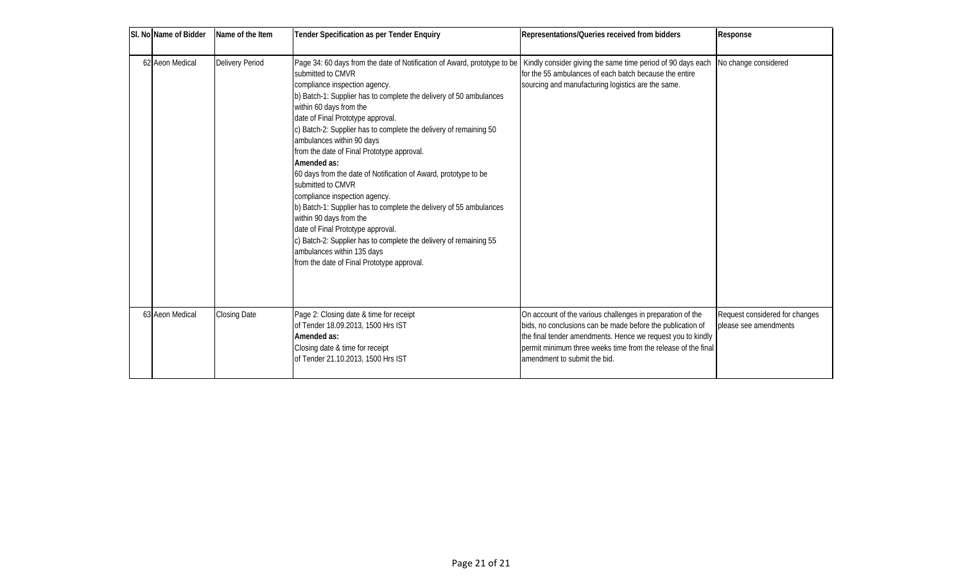| SI. No Name of Bidder | Name of the Item    | <b>Tender Specification as per Tender Enquiry</b>                                                                                                                                                                                                                                                                                                                                                                                                                                                                                                                                                                                                                                                                                                                                                                                                                                                                                        | Representations/Queries received from bidders                                                                                                                                                                                                                                             | <b>Response</b>                                         |
|-----------------------|---------------------|------------------------------------------------------------------------------------------------------------------------------------------------------------------------------------------------------------------------------------------------------------------------------------------------------------------------------------------------------------------------------------------------------------------------------------------------------------------------------------------------------------------------------------------------------------------------------------------------------------------------------------------------------------------------------------------------------------------------------------------------------------------------------------------------------------------------------------------------------------------------------------------------------------------------------------------|-------------------------------------------------------------------------------------------------------------------------------------------------------------------------------------------------------------------------------------------------------------------------------------------|---------------------------------------------------------|
| 62 Aeon Medical       | Delivery Period     | Page 34: 60 days from the date of Notification of Award, prototype to be   Kindly consider giving the same time period of 90 days each   No change considered<br>submitted to CMVR<br>compliance inspection agency.<br>b) Batch-1: Supplier has to complete the delivery of 50 ambulances<br>within 60 days from the<br>date of Final Prototype approval.<br>c) Batch-2: Supplier has to complete the delivery of remaining 50<br>ambulances within 90 days<br>from the date of Final Prototype approval.<br>Amended as:<br>60 days from the date of Notification of Award, prototype to be<br>submitted to CMVR<br>compliance inspection agency.<br>b) Batch-1: Supplier has to complete the delivery of 55 ambulances<br>within 90 days from the<br>date of Final Prototype approval.<br>c) Batch-2: Supplier has to complete the delivery of remaining 55<br>ambulances within 135 days<br>from the date of Final Prototype approval. | for the 55 ambulances of each batch because the entire<br>sourcing and manufacturing logistics are the same.                                                                                                                                                                              |                                                         |
| 63 Aeon Medical       | <b>Closing Date</b> | Page 2: Closing date & time for receipt<br>of Tender 18.09.2013, 1500 Hrs IST<br>Amended as:<br>Closing date & time for receipt<br>of Tender 21.10.2013, 1500 Hrs IST                                                                                                                                                                                                                                                                                                                                                                                                                                                                                                                                                                                                                                                                                                                                                                    | On account of the various challenges in preparation of the<br>bids, no conclusions can be made before the publication of<br>the final tender amendments. Hence we request you to kindly<br>bermit minimum three weeks time from the release of the final<br>lamendment to submit the bid. | Request considered for changes<br>please see amendments |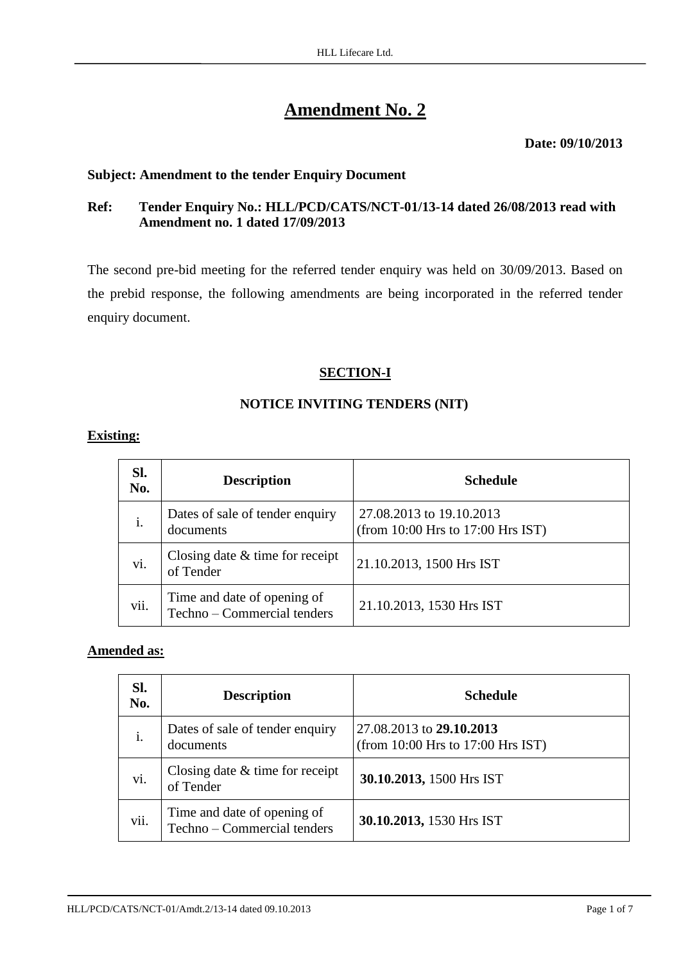# **Amendment No. 2**

#### **Date: 09/10/2013**

### **Subject: Amendment to the tender Enquiry Document**

# **Ref: Tender Enquiry No.: HLL/PCD/CATS/NCT-01/13-14 dated 26/08/2013 read with Amendment no. 1 dated 17/09/2013**

The second pre-bid meeting for the referred tender enquiry was held on 30/09/2013. Based on the prebid response, the following amendments are being incorporated in the referred tender enquiry document.

# **SECTION-I**

# **NOTICE INVITING TENDERS (NIT)**

#### **Existing:**

| SI.<br>No. | <b>Description</b>                                         | <b>Schedule</b>                                               |
|------------|------------------------------------------------------------|---------------------------------------------------------------|
| i.         | Dates of sale of tender enquiry<br>documents               | 27.08.2013 to 19.10.2013<br>(from 10:00 Hrs to 17:00 Hrs IST) |
| vi.        | Closing date $&$ time for receipt<br>of Tender             | 21.10.2013, 1500 Hrs IST                                      |
| vii.       | Time and date of opening of<br>Techno – Commercial tenders | 21.10.2013, 1530 Hrs IST                                      |

# **Amended as:**

| SI.<br>No. | <b>Description</b>                                         | <b>Schedule</b>                                               |
|------------|------------------------------------------------------------|---------------------------------------------------------------|
| i.         | Dates of sale of tender enquiry<br>documents               | 27.08.2013 to 29.10.2013<br>(from 10:00 Hrs to 17:00 Hrs IST) |
| vi.        | Closing date $&$ time for receipt<br>of Tender             | 30.10.2013, 1500 Hrs IST                                      |
| vii.       | Time and date of opening of<br>Techno – Commercial tenders | 30.10.2013, 1530 Hrs IST                                      |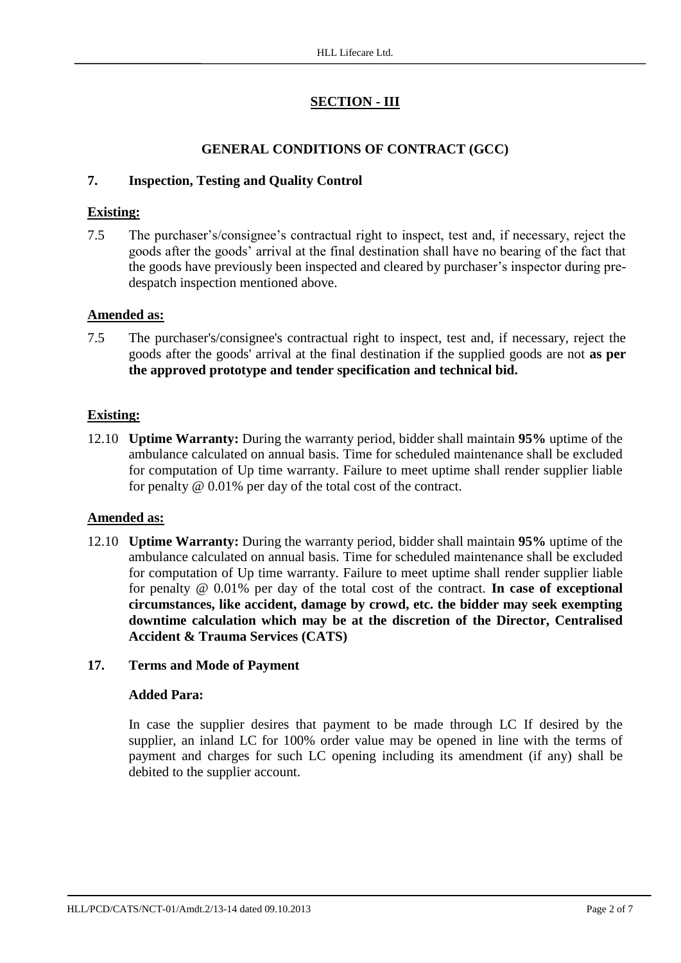# **SECTION - III**

# **GENERAL CONDITIONS OF CONTRACT (GCC)**

# **7. Inspection, Testing and Quality Control**

# **Existing:**

7.5 The purchaser's/consignee's contractual right to inspect, test and, if necessary, reject the goods after the goods' arrival at the final destination shall have no bearing of the fact that the goods have previously been inspected and cleared by purchaser's inspector during predespatch inspection mentioned above.

# **Amended as:**

7.5 The purchaser's/consignee's contractual right to inspect, test and, if necessary, reject the goods after the goods' arrival at the final destination if the supplied goods are not **as per the approved prototype and tender specification and technical bid.**

# **Existing:**

12.10 **Uptime Warranty:** During the warranty period, bidder shall maintain **95%** uptime of the ambulance calculated on annual basis. Time for scheduled maintenance shall be excluded for computation of Up time warranty. Failure to meet uptime shall render supplier liable for penalty @ 0.01% per day of the total cost of the contract.

# **Amended as:**

12.10 **Uptime Warranty:** During the warranty period, bidder shall maintain **95%** uptime of the ambulance calculated on annual basis. Time for scheduled maintenance shall be excluded for computation of Up time warranty. Failure to meet uptime shall render supplier liable for penalty @ 0.01% per day of the total cost of the contract. **In case of exceptional circumstances, like accident, damage by crowd, etc. the bidder may seek exempting downtime calculation which may be at the discretion of the Director, Centralised Accident & Trauma Services (CATS)**

# **17. Terms and Mode of Payment**

# **Added Para:**

In case the supplier desires that payment to be made through LC If desired by the supplier, an inland LC for 100% order value may be opened in line with the terms of payment and charges for such LC opening including its amendment (if any) shall be debited to the supplier account.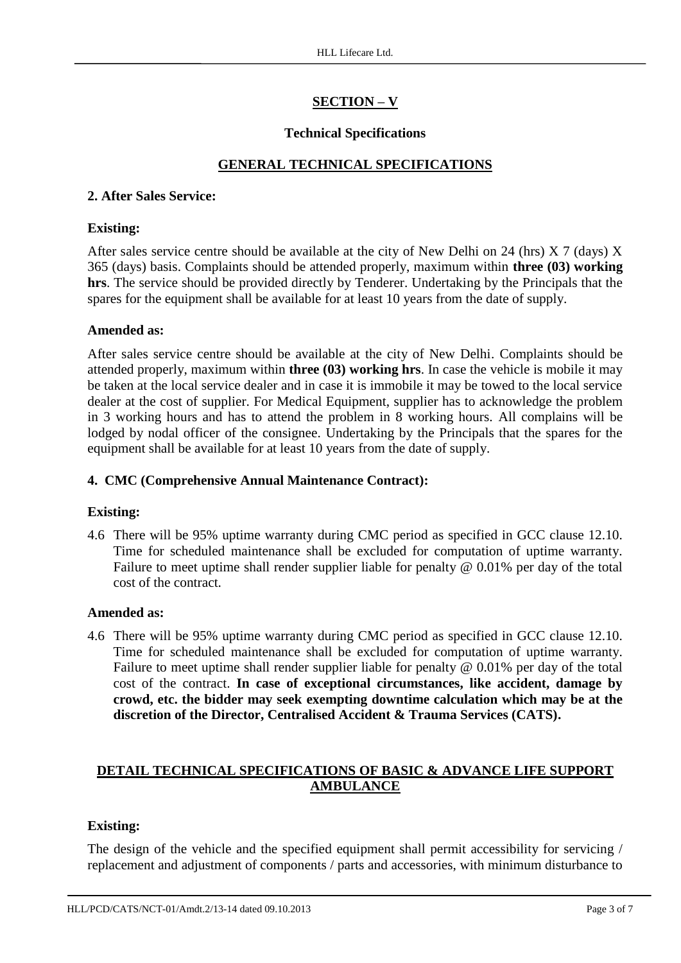# **SECTION – V**

# **Technical Specifications**

# **GENERAL TECHNICAL SPECIFICATIONS**

### **2. After Sales Service:**

#### **Existing:**

After sales service centre should be available at the city of New Delhi on 24 (hrs) X 7 (days) X 365 (days) basis. Complaints should be attended properly, maximum within **three (03) working hrs**. The service should be provided directly by Tenderer. Undertaking by the Principals that the spares for the equipment shall be available for at least 10 years from the date of supply.

#### **Amended as:**

After sales service centre should be available at the city of New Delhi. Complaints should be attended properly, maximum within **three (03) working hrs**. In case the vehicle is mobile it may be taken at the local service dealer and in case it is immobile it may be towed to the local service dealer at the cost of supplier. For Medical Equipment, supplier has to acknowledge the problem in 3 working hours and has to attend the problem in 8 working hours. All complains will be lodged by nodal officer of the consignee. Undertaking by the Principals that the spares for the equipment shall be available for at least 10 years from the date of supply.

### **4. CMC (Comprehensive Annual Maintenance Contract):**

# **Existing:**

4.6 There will be 95% uptime warranty during CMC period as specified in GCC clause 12.10. Time for scheduled maintenance shall be excluded for computation of uptime warranty. Failure to meet uptime shall render supplier liable for penalty @ 0.01% per day of the total cost of the contract.

#### **Amended as:**

4.6 There will be 95% uptime warranty during CMC period as specified in GCC clause 12.10. Time for scheduled maintenance shall be excluded for computation of uptime warranty. Failure to meet uptime shall render supplier liable for penalty @ 0.01% per day of the total cost of the contract. **In case of exceptional circumstances, like accident, damage by crowd, etc. the bidder may seek exempting downtime calculation which may be at the discretion of the Director, Centralised Accident & Trauma Services (CATS).**

# **DETAIL TECHNICAL SPECIFICATIONS OF BASIC & ADVANCE LIFE SUPPORT AMBULANCE**

#### **Existing:**

The design of the vehicle and the specified equipment shall permit accessibility for servicing / replacement and adjustment of components / parts and accessories, with minimum disturbance to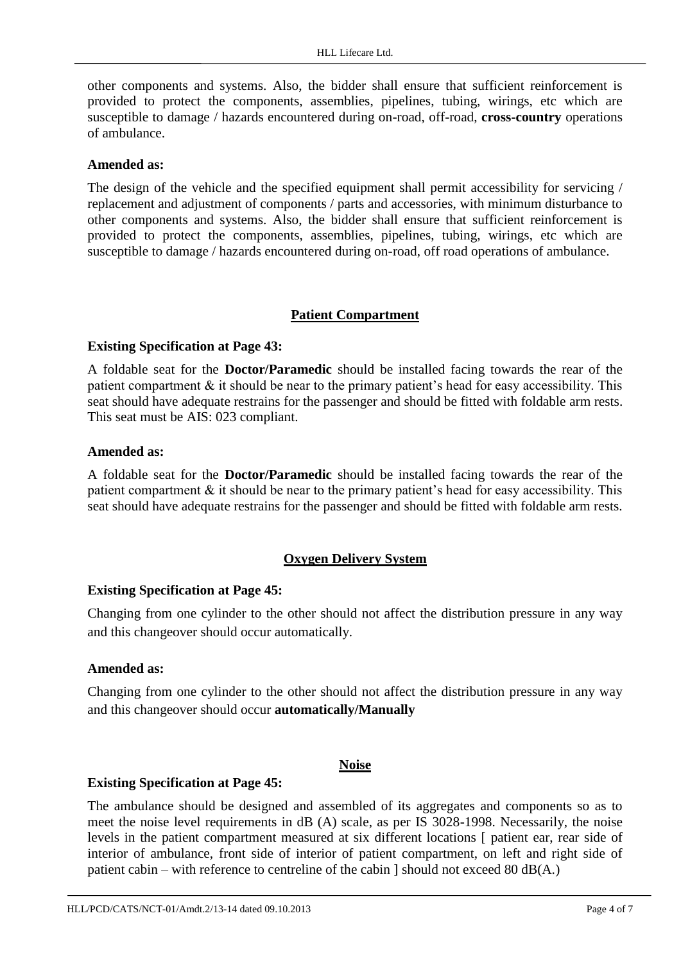other components and systems. Also, the bidder shall ensure that sufficient reinforcement is provided to protect the components, assemblies, pipelines, tubing, wirings, etc which are susceptible to damage / hazards encountered during on-road, off-road, **cross-country** operations of ambulance.

#### **Amended as:**

The design of the vehicle and the specified equipment shall permit accessibility for servicing / replacement and adjustment of components / parts and accessories, with minimum disturbance to other components and systems. Also, the bidder shall ensure that sufficient reinforcement is provided to protect the components, assemblies, pipelines, tubing, wirings, etc which are susceptible to damage / hazards encountered during on-road, off road operations of ambulance.

#### **Patient Compartment**

#### **Existing Specification at Page 43:**

A foldable seat for the **Doctor/Paramedic** should be installed facing towards the rear of the patient compartment  $\&$  it should be near to the primary patient's head for easy accessibility. This seat should have adequate restrains for the passenger and should be fitted with foldable arm rests. This seat must be AIS: 023 compliant.

#### **Amended as:**

A foldable seat for the **Doctor/Paramedic** should be installed facing towards the rear of the patient compartment  $\&$  it should be near to the primary patient's head for easy accessibility. This seat should have adequate restrains for the passenger and should be fitted with foldable arm rests.

#### **Oxygen Delivery System**

#### **Existing Specification at Page 45:**

Changing from one cylinder to the other should not affect the distribution pressure in any way and this changeover should occur automatically.

#### **Amended as:**

Changing from one cylinder to the other should not affect the distribution pressure in any way and this changeover should occur **automatically/Manually**

#### **Noise**

#### **Existing Specification at Page 45:**

The ambulance should be designed and assembled of its aggregates and components so as to meet the noise level requirements in dB (A) scale, as per IS 3028-1998. Necessarily, the noise levels in the patient compartment measured at six different locations [ patient ear, rear side of interior of ambulance, front side of interior of patient compartment, on left and right side of patient cabin – with reference to centreline of the cabin  $\vert$  should not exceed 80 dB(A.)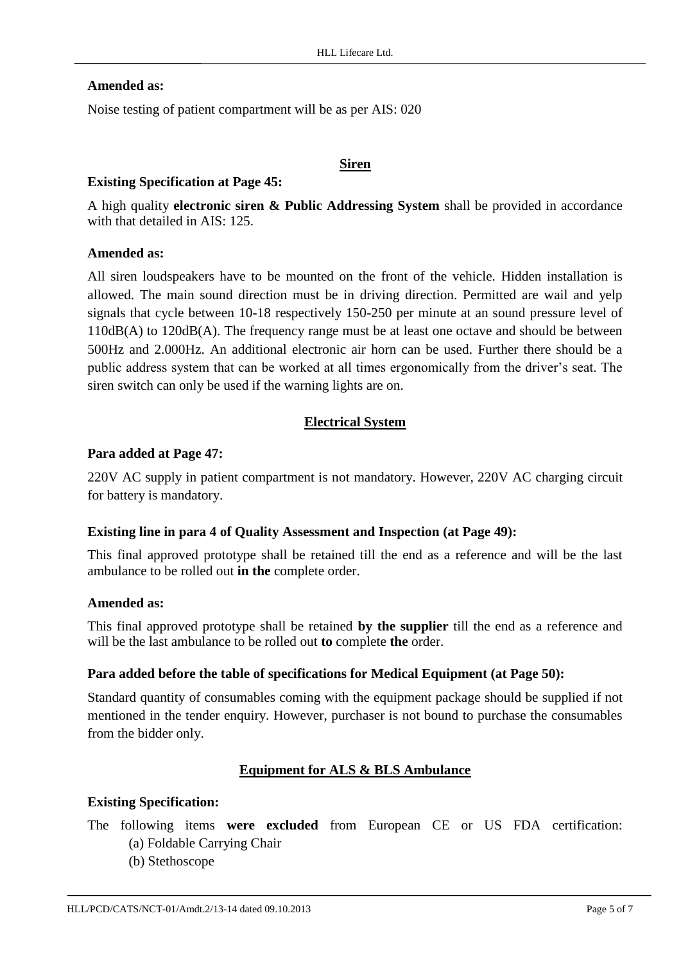#### **Amended as:**

Noise testing of patient compartment will be as per AIS: 020

#### **Siren**

#### **Existing Specification at Page 45:**

A high quality **electronic siren & Public Addressing System** shall be provided in accordance with that detailed in AIS: 125.

#### **Amended as:**

All siren loudspeakers have to be mounted on the front of the vehicle. Hidden installation is allowed. The main sound direction must be in driving direction. Permitted are wail and yelp signals that cycle between 10-18 respectively 150-250 per minute at an sound pressure level of 110dB(A) to 120dB(A). The frequency range must be at least one octave and should be between 500Hz and 2.000Hz. An additional electronic air horn can be used. Further there should be a public address system that can be worked at all times ergonomically from the driver's seat. The siren switch can only be used if the warning lights are on.

# **Electrical System**

#### **Para added at Page 47:**

220V AC supply in patient compartment is not mandatory. However, 220V AC charging circuit for battery is mandatory.

#### **Existing line in para 4 of Quality Assessment and Inspection (at Page 49):**

This final approved prototype shall be retained till the end as a reference and will be the last ambulance to be rolled out **in the** complete order.

#### **Amended as:**

This final approved prototype shall be retained **by the supplier** till the end as a reference and will be the last ambulance to be rolled out **to** complete **the** order.

#### **Para added before the table of specifications for Medical Equipment (at Page 50):**

Standard quantity of consumables coming with the equipment package should be supplied if not mentioned in the tender enquiry. However, purchaser is not bound to purchase the consumables from the bidder only.

# **Equipment for ALS & BLS Ambulance**

#### **Existing Specification:**

- The following items **were excluded** from European CE or US FDA certification:
	- (a) Foldable Carrying Chair
	- (b) Stethoscope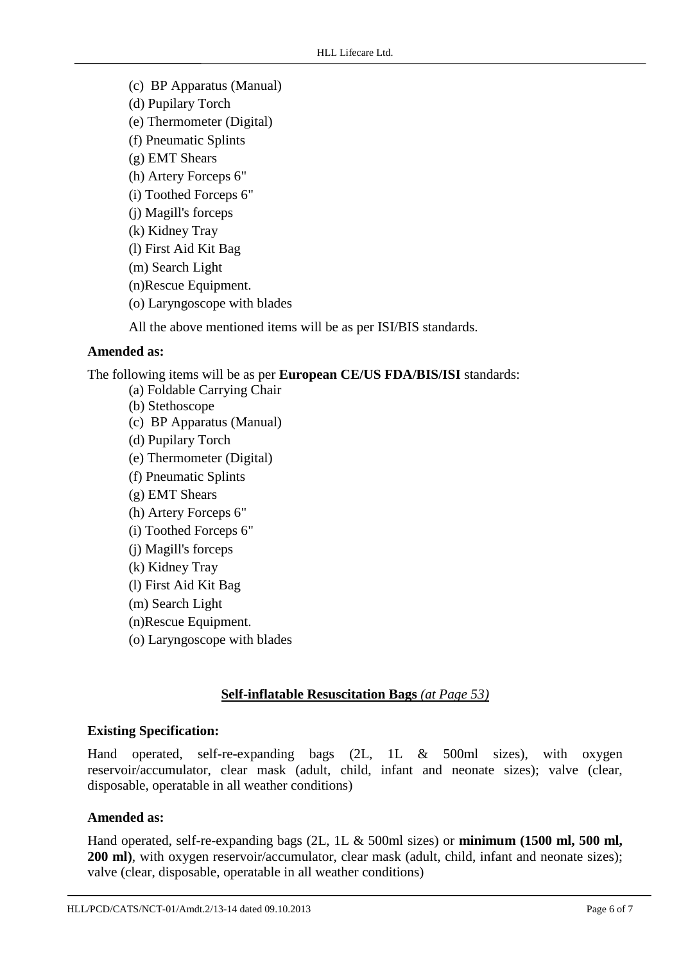(c) BP Apparatus (Manual) (d) Pupilary Torch (e) Thermometer (Digital) (f) Pneumatic Splints (g) EMT Shears (h) Artery Forceps 6" (i) Toothed Forceps 6" (j) Magill's forceps (k) Kidney Tray (l) First Aid Kit Bag (m) Search Light (n)Rescue Equipment. (o) Laryngoscope with blades All the above mentioned items will be as per ISI/BIS standards.

#### **Amended as:**

The following items will be as per **European CE/US FDA/BIS/ISI** standards:

- (a) Foldable Carrying Chair
- (b) Stethoscope
- (c) BP Apparatus (Manual)
- (d) Pupilary Torch
- (e) Thermometer (Digital)
- (f) Pneumatic Splints
- (g) EMT Shears
- (h) Artery Forceps 6"
- (i) Toothed Forceps 6"
- (j) Magill's forceps
- (k) Kidney Tray
- (l) First Aid Kit Bag
- (m) Search Light
- (n)Rescue Equipment.
- (o) Laryngoscope with blades

# **Self-inflatable Resuscitation Bags** *(at Page 53)*

#### **Existing Specification:**

Hand operated, self-re-expanding bags (2L, 1L & 500ml sizes), with oxygen reservoir/accumulator, clear mask (adult, child, infant and neonate sizes); valve (clear, disposable, operatable in all weather conditions)

#### **Amended as:**

Hand operated, self-re-expanding bags (2L, 1L & 500ml sizes) or **minimum (1500 ml, 500 ml, 200 ml)**, with oxygen reservoir/accumulator, clear mask (adult, child, infant and neonate sizes); valve (clear, disposable, operatable in all weather conditions)